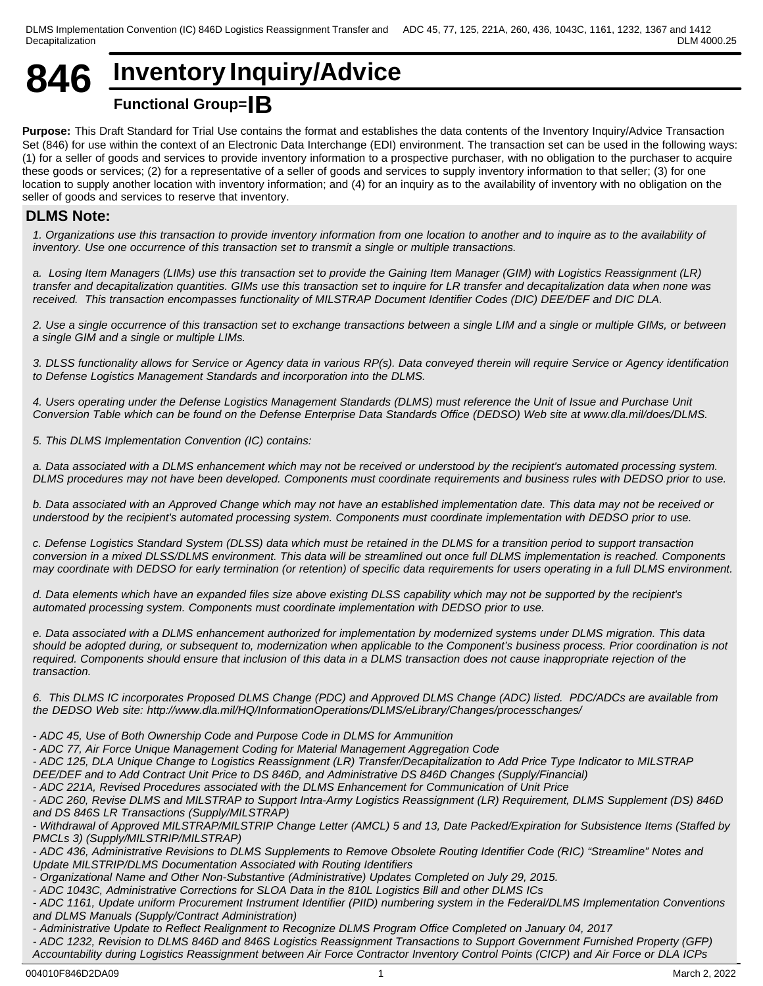# **846 Inventory Inquiry/Advice**

# **Functional Group=IB**

**Purpose:** This Draft Standard for Trial Use contains the format and establishes the data contents of the Inventory Inquiry/Advice Transaction Set (846) for use within the context of an Electronic Data Interchange (EDI) environment. The transaction set can be used in the following ways: (1) for a seller of goods and services to provide inventory information to a prospective purchaser, with no obligation to the purchaser to acquire these goods or services; (2) for a representative of a seller of goods and services to supply inventory information to that seller; (3) for one location to supply another location with inventory information; and (4) for an inquiry as to the availability of inventory with no obligation on the seller of goods and services to reserve that inventory.

# **DLMS Note:**

*1. Organizations use this transaction to provide inventory information from one location to another and to inquire as to the availability of inventory. Use one occurrence of this transaction set to transmit a single or multiple transactions.*

*a. Losing Item Managers (LIMs) use this transaction set to provide the Gaining Item Manager (GIM) with Logistics Reassignment (LR) transfer and decapitalization quantities. GIMs use this transaction set to inquire for LR transfer and decapitalization data when none was* received. This transaction encompasses functionality of MILSTRAP Document Identifier Codes (DIC) DEE/DEF and DIC DLA.

*2. Use a single occurrence of this transaction set to exchange transactions between a single LIM and a single or multiple GIMs, or between a single GIM and a single or multiple LIMs.*

*3. DLSS functionality allows for Service or Agency data in various RP(s). Data conveyed therein will require Service or Agency identification to Defense Logistics Management Standards and incorporation into the DLMS.*

*4. Users operating under the Defense Logistics Management Standards (DLMS) must reference the Unit of Issue and Purchase Unit Conversion Table which can be found on the Defense Enterprise Data Standards Office (DEDSO) Web site at www.dla.mil/does/DLMS.* 

*5. This DLMS Implementation Convention (IC) contains:*

*a. Data associated with a DLMS enhancement which may not be received or understood by the recipient's automated processing system. DLMS procedures may not have been developed. Components must coordinate requirements and business rules with DEDSO prior to use.*

*b. Data associated with an Approved Change which may not have an established implementation date. This data may not be received or understood by the recipient's automated processing system. Components must coordinate implementation with DEDSO prior to use.*

*c. Defense Logistics Standard System (DLSS) data which must be retained in the DLMS for a transition period to support transaction conversion in a mixed DLSS/DLMS environment. This data will be streamlined out once full DLMS implementation is reached. Components may coordinate with DEDSO for early termination (or retention) of specific data requirements for users operating in a full DLMS environment.*

*d. Data elements which have an expanded files size above existing DLSS capability which may not be supported by the recipient's automated processing system. Components must coordinate implementation with DEDSO prior to use.*

*e. Data associated with a DLMS enhancement authorized for implementation by modernized systems under DLMS migration. This data should be adopted during, or subsequent to, modernization when applicable to the Component's business process. Prior coordination is not required. Components should ensure that inclusion of this data in a DLMS transaction does not cause inappropriate rejection of the transaction.*

*6. This DLMS IC incorporates Proposed DLMS Change (PDC) and Approved DLMS Change (ADC) listed. PDC/ADCs are available from the DEDSO Web site: http://www.dla.mil/HQ/InformationOperations/DLMS/eLibrary/Changes/processchanges/* 

*- ADC 45, Use of Both Ownership Code and Purpose Code in DLMS for Ammunition*

*- ADC 77, Air Force Unique Management Coding for Material Management Aggregation Code*

*- ADC 125, DLA Unique Change to Logistics Reassignment (LR) Transfer/Decapitalization to Add Price Type Indicator to MILSTRAP DEE/DEF and to Add Contract Unit Price to DS 846D, and Administrative DS 846D Changes (Supply/Financial)*

*- ADC 221A, Revised Procedures associated with the DLMS Enhancement for Communication of Unit Price*

*- ADC 260, Revise DLMS and MILSTRAP to Support Intra-Army Logistics Reassignment (LR) Requirement, DLMS Supplement (DS) 846D and DS 846S LR Transactions (Supply/MILSTRAP)*

*- Withdrawal of Approved MILSTRAP/MILSTRIP Change Letter (AMCL) 5 and 13, Date Packed/Expiration for Subsistence Items (Staffed by PMCLs 3) (Supply/MILSTRIP/MILSTRAP)*

*- ADC 436, Administrative Revisions to DLMS Supplements to Remove Obsolete Routing Identifier Code (RIC) "Streamline" Notes and Update MILSTRIP/DLMS Documentation Associated with Routing Identifiers*

*- Organizational Name and Other Non-Substantive (Administrative) Updates Completed on July 29, 2015.*

*- ADC 1043C, Administrative Corrections for SLOA Data in the 810L Logistics Bill and other DLMS ICs*

*- ADC 1161, Update uniform Procurement Instrument Identifier (PIID) numbering system in the Federal/DLMS Implementation Conventions and DLMS Manuals (Supply/Contract Administration)*

*- Administrative Update to Reflect Realignment to Recognize DLMS Program Office Completed on January 04, 2017*

*- ADC 1232, Revision to DLMS 846D and 846S Logistics Reassignment Transactions to Support Government Furnished Property (GFP) Accountability during Logistics Reassignment between Air Force Contractor Inventory Control Points (CICP) and Air Force or DLA ICPs*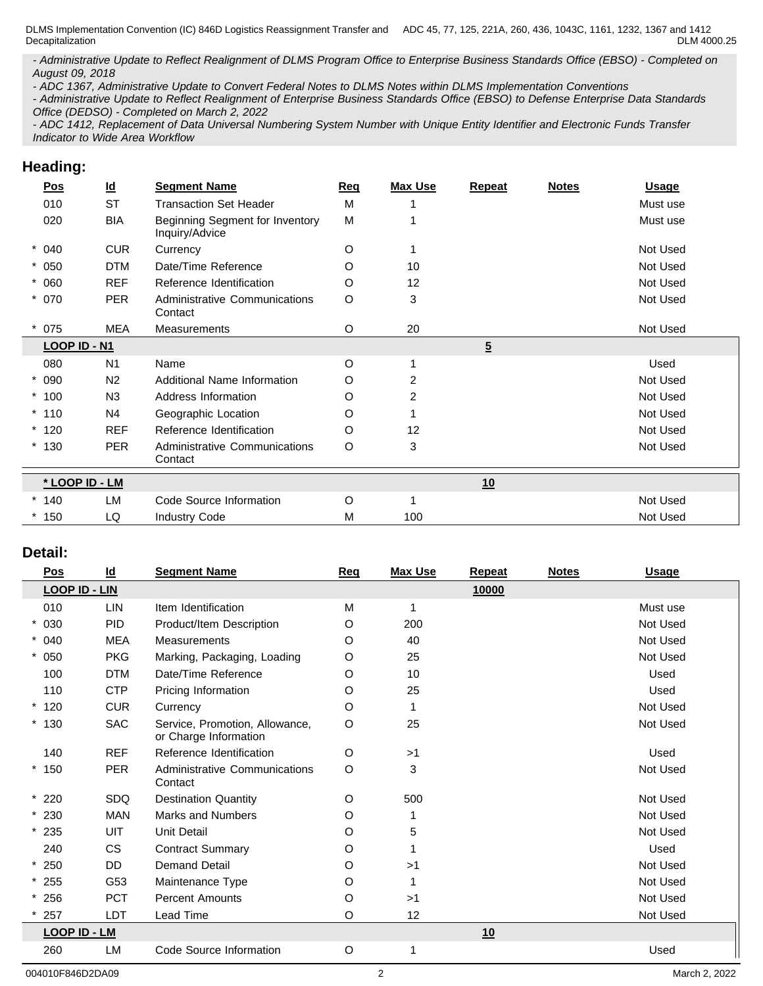*- Administrative Update to Reflect Realignment of DLMS Program Office to Enterprise Business Standards Office (EBSO) - Completed on August 09, 2018*

*- ADC 1367, Administrative Update to Convert Federal Notes to DLMS Notes within DLMS Implementation Conventions*

*- Administrative Update to Reflect Realignment of Enterprise Business Standards Office (EBSO) to Defense Enterprise Data Standards Office (DEDSO) - Completed on March 2, 2022*

*- ADC 1412, Replacement of Data Universal Numbering System Number with Unique Entity Identifier and Electronic Funds Transfer Indicator to Wide Area Workflow*

# **Heading:**

| <u>Pos</u>     | $\underline{\mathsf{Id}}$ | <b>Segment Name</b>                               | <u>Req</u> | <b>Max Use</b> | Repeat                                         | <b>Notes</b> | <b>Usage</b> |
|----------------|---------------------------|---------------------------------------------------|------------|----------------|------------------------------------------------|--------------|--------------|
| 010            | <b>ST</b>                 | <b>Transaction Set Header</b>                     | M          |                |                                                |              | Must use     |
| 020            | <b>BIA</b>                | Beginning Segment for Inventory<br>Inquiry/Advice | M          |                |                                                |              | Must use     |
| $* 040$        | <b>CUR</b>                | Currency                                          | O          | 1              |                                                |              | Not Used     |
| $* 050$        | <b>DTM</b>                | Date/Time Reference                               | O          | 10             |                                                |              | Not Used     |
| $* 060$        | <b>REF</b>                | Reference Identification                          | O          | 12             |                                                |              | Not Used     |
| $* 070$        | <b>PER</b>                | Administrative Communications<br>Contact          | O          | 3              |                                                |              | Not Used     |
| $*075$         | <b>MEA</b>                | Measurements                                      | $\circ$    | 20             |                                                |              | Not Used     |
| LOOP ID - N1   |                           |                                                   |            |                | $\overline{5}$<br>Used<br>Not Used<br>Not Used |              |              |
| 080            | N <sub>1</sub>            | Name                                              | $\circ$    | 1              |                                                |              |              |
| $* 090$        | N <sub>2</sub>            | <b>Additional Name Information</b>                | O          | $\overline{2}$ |                                                |              |              |
| $*100$         | N <sub>3</sub>            | Address Information                               | O          | 2              |                                                |              |              |
| $*110$         | N <sub>4</sub>            | Geographic Location                               | O          |                |                                                |              | Not Used     |
| $*120$         | <b>REF</b>                | Reference Identification                          | O          | 12             |                                                |              | Not Used     |
| $*130$         | <b>PER</b>                | <b>Administrative Communications</b><br>Contact   | O          | 3              |                                                |              | Not Used     |
| * LOOP ID - LM |                           |                                                   |            |                | 10                                             |              |              |
| $*140$         | LM                        | Code Source Information                           | O          | 1              |                                                |              | Not Used     |
| 150            | LQ                        | <b>Industry Code</b>                              | M          | 100            |                                                |              | Not Used     |
|                |                           |                                                   |            |                |                                                |              |              |

## **Detail:**

| <u>Pos</u>           | <u>ld</u>  | <b>Segment Name</b>                                     | <b>Req</b> | <b>Max Use</b> | Repeat | <b>Notes</b> | <b>Usage</b> |
|----------------------|------------|---------------------------------------------------------|------------|----------------|--------|--------------|--------------|
| <b>LOOP ID - LIN</b> |            |                                                         |            |                | 10000  |              |              |
| 010                  | LIN        | Item Identification                                     | M          | 1              |        |              | Must use     |
| $* 030$              | <b>PID</b> | Product/Item Description                                | O          | 200            |        |              | Not Used     |
| $* 040$              | <b>MEA</b> | Measurements                                            | O          | 40             |        |              | Not Used     |
| $* 050$              | <b>PKG</b> | Marking, Packaging, Loading                             | O          | 25             |        |              | Not Used     |
| 100                  | <b>DTM</b> | Date/Time Reference                                     | O          | 10             |        |              | Used         |
| 110                  | <b>CTP</b> | Pricing Information                                     | O          | 25             |        |              | Used         |
| $*120$               | <b>CUR</b> | Currency                                                | O          | -1             |        |              | Not Used     |
| $*130$               | <b>SAC</b> | Service, Promotion, Allowance,<br>or Charge Information | O          | 25             |        |              | Not Used     |
| 140                  | <b>REF</b> | Reference Identification                                | O          | >1             |        |              | Used         |
| $*150$               | PER        | <b>Administrative Communications</b><br>Contact         | O          | 3              |        |              | Not Used     |
| $*220$               | SDQ        | <b>Destination Quantity</b>                             | O          | 500            |        |              | Not Used     |
| $*230$               | <b>MAN</b> | <b>Marks and Numbers</b>                                | O          | -1             |        |              | Not Used     |
| $*235$               | <b>UIT</b> | Unit Detail                                             | O          | 5              |        |              | Not Used     |
| 240                  | <b>CS</b>  | <b>Contract Summary</b>                                 | O          |                |        |              | Used         |
| $*250$               | <b>DD</b>  | <b>Demand Detail</b>                                    | O          | >1             |        |              | Not Used     |
| $*255$               | G53        | Maintenance Type                                        | O          | 1              |        |              | Not Used     |
| $*256$               | <b>PCT</b> | <b>Percent Amounts</b>                                  | O          | >1             |        |              | Not Used     |
| 257                  | LDT        | Lead Time                                               | O          | 12             |        |              | Not Used     |
| <b>LOOP ID - LM</b>  |            |                                                         |            |                | 10     |              |              |
| 260                  | <b>LM</b>  | Code Source Information                                 | O          |                |        |              | Used         |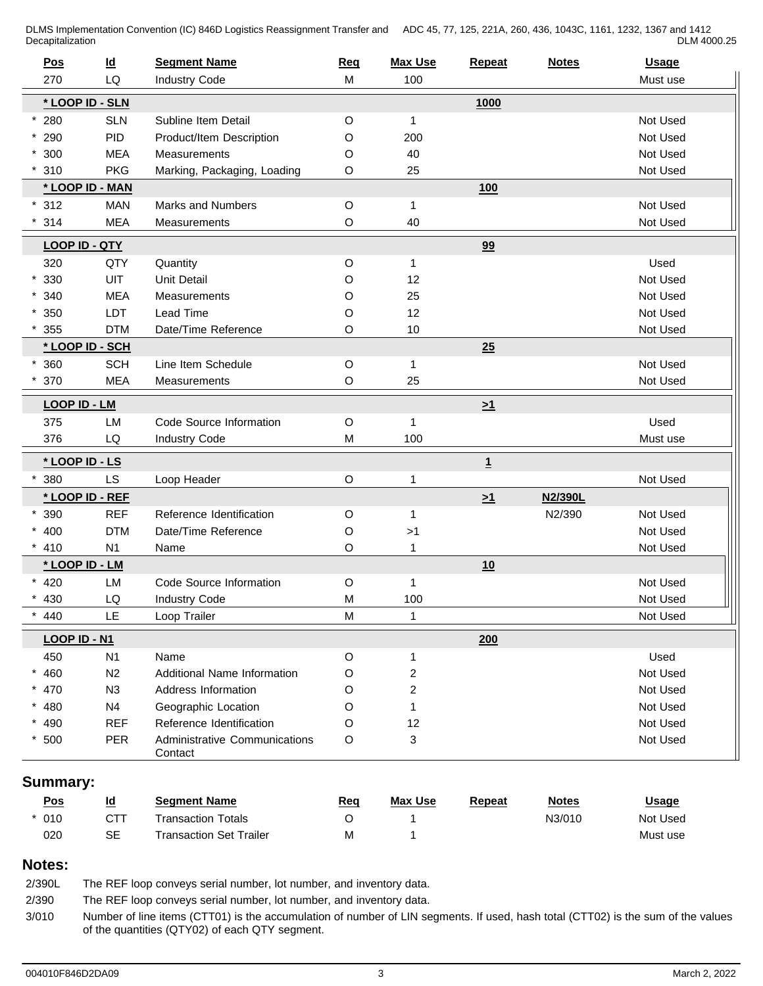| Pos      | $\underline{\mathsf{Id}}$ | <b>Segment Name</b>                      | Req         | <b>Max Use</b>          | Repeat         | <b>Notes</b> | <b>Usage</b> |
|----------|---------------------------|------------------------------------------|-------------|-------------------------|----------------|--------------|--------------|
| 270      | LQ                        | <b>Industry Code</b>                     | M           | 100                     |                |              | Must use     |
|          | * LOOP ID - SLN           |                                          |             |                         | 1000           |              |              |
| $*280$   | <b>SLN</b>                | Subline Item Detail                      | O           | 1                       |                |              | Not Used     |
| $*290$   | PID                       | Product/Item Description                 | O           | 200                     |                |              | Not Used     |
| $*300$   | <b>MEA</b>                | Measurements                             | O           | 40                      |                |              | Not Used     |
| 310      | <b>PKG</b>                | Marking, Packaging, Loading              | O           | 25                      |                |              | Not Used     |
|          | * LOOP ID - MAN           |                                          |             |                         | <b>100</b>     |              |              |
| $*312$   | <b>MAN</b>                | Marks and Numbers                        | $\mathsf O$ | 1                       |                |              | Not Used     |
| 314      | <b>MEA</b>                | Measurements                             | O           | 40                      |                |              | Not Used     |
|          | <b>LOOP ID - QTY</b>      |                                          |             |                         | 99             |              |              |
| 320      | QTY                       | Quantity                                 | $\mathsf O$ | 1                       |                |              | Used         |
| $*330$   | <b>UIT</b>                | <b>Unit Detail</b>                       | O           | 12                      |                |              | Not Used     |
| $*340$   | <b>MEA</b>                | Measurements                             | O           | 25                      |                |              | Not Used     |
| $*350$   | LDT                       | Lead Time                                | O           | 12                      |                |              | Not Used     |
| 355      | <b>DTM</b>                | Date/Time Reference                      | O           | 10                      |                |              | Not Used     |
|          | * LOOP ID - SCH           |                                          |             |                         | 25             |              |              |
| 360      | <b>SCH</b>                | Line Item Schedule                       | $\mathsf O$ | 1                       |                |              | Not Used     |
| 370      | <b>MEA</b>                | Measurements                             | O           | 25                      |                |              | Not Used     |
|          |                           |                                          |             |                         |                |              |              |
|          | <b>LOOP ID - LM</b>       |                                          |             |                         | $\geq 1$       |              |              |
| 375      | LM                        | Code Source Information                  | $\mathsf O$ | 1                       |                |              | Used         |
| 376      | LQ                        | <b>Industry Code</b>                     | M           | 100                     |                |              | Must use     |
|          | * LOOP ID - LS            |                                          |             |                         | $\overline{1}$ |              |              |
| 380      | <b>LS</b>                 | Loop Header                              | $\mathsf O$ | 1                       |                |              | Not Used     |
|          | * LOOP ID - REF           |                                          |             |                         | $\geq 1$       | N2/390L      |              |
| 390      | <b>REF</b>                | Reference Identification                 | O           | $\mathbf{1}$            |                | N2/390       | Not Used     |
| $* 400$  | <b>DTM</b>                | Date/Time Reference                      | O           | >1                      |                |              | Not Used     |
| 410      | N <sub>1</sub>            | Name                                     | O           | 1                       |                |              | Not Used     |
|          | * LOOP ID - LM            |                                          |             |                         | 10             |              |              |
| $* 420$  | LM                        | Code Source Information                  | O           | 1                       |                |              | Not Used     |
| 430      | LQ                        | <b>Industry Code</b>                     | M           | 100                     |                |              | Not Used     |
| 440      | <b>LE</b>                 | Loop Trailer                             | M           | 1                       |                |              | Not Used     |
|          | LOOP ID - N1              |                                          |             |                         | 200            |              |              |
| 450      | N1                        | Name                                     | O           | 1                       |                |              | Used         |
| $* 460$  | N <sub>2</sub>            | Additional Name Information              | O           | $\overline{c}$          |                |              | Not Used     |
| $* 470$  | N3                        | Address Information                      | O           | $\overline{\mathbf{c}}$ |                |              | Not Used     |
| $* 480$  | N4                        | Geographic Location                      | O           | 1                       |                |              | Not Used     |
| $* 490$  | <b>REF</b>                | Reference Identification                 | O           | 12                      |                |              | Not Used     |
| $*500$   | <b>PER</b>                | Administrative Communications<br>Contact | O           | 3                       |                |              | Not Used     |
| Summary: |                           |                                          |             |                         |                |              |              |

| <u>Pos</u> | Id<br>_             | <b>Seament Name</b>            | Req        | <b>Max Use</b> | Repeat | <b>Notes</b> | <u>Usage</u> |
|------------|---------------------|--------------------------------|------------|----------------|--------|--------------|--------------|
| $* 010$    | ~__                 | <b>Transaction Totals</b>      |            |                |        | N3/010       | Not Used     |
| 020        | $\sim$ $\sim$<br>⊃⊏ | <b>Fransaction Set Trailer</b> | <b>IVI</b> |                |        |              | Must use     |

## **Notes:**

2/390L The REF loop conveys serial number, lot number, and inventory data.

2/390 The REF loop conveys serial number, lot number, and inventory data.

3/010 Number of line items (CTT01) is the accumulation of number of LIN segments. If used, hash total (CTT02) is the sum of the values of the quantities (QTY02) of each QTY segment.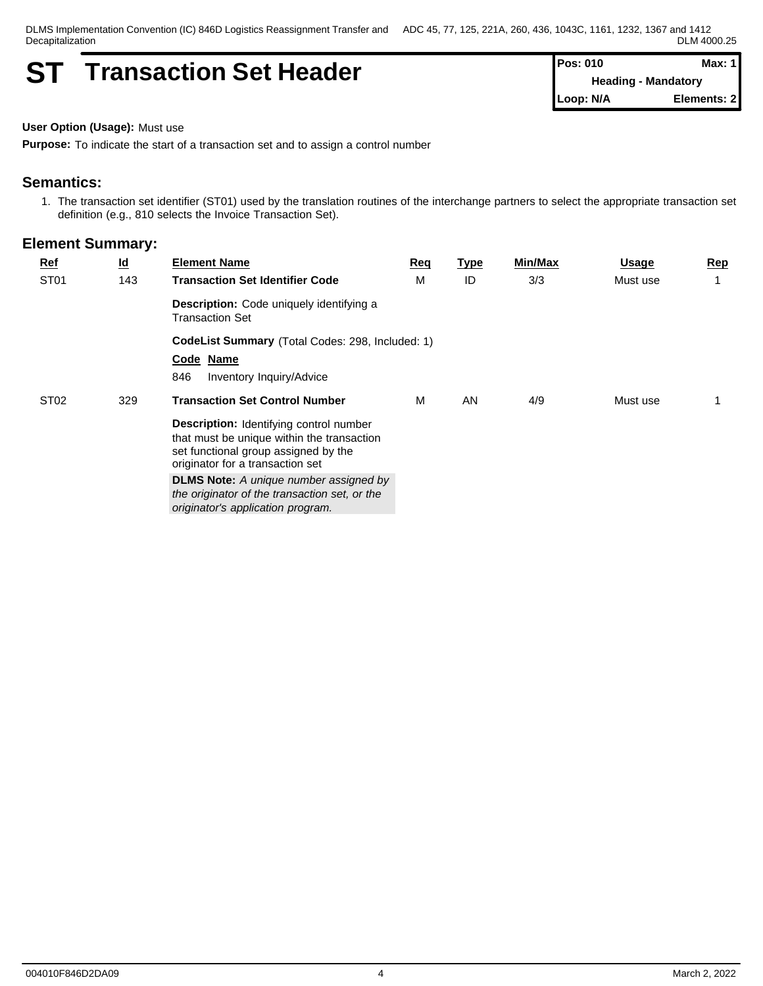# **ST Transaction Set Header Pos: 010 Pos: 010 Max: Max:**

**Heading - Mandatory Loop: N/A Elements: 2**

**User Option (Usage):** Must use

**Purpose:** To indicate the start of a transaction set and to assign a control number

## **Semantics:**

1. The transaction set identifier (ST01) used by the translation routines of the interchange partners to select the appropriate transaction set definition (e.g., 810 selects the Invoice Transaction Set).

| <b>Ref</b>       | $\underline{\mathsf{Id}}$ | <b>Element Name</b>                                                                                                                                                      | Req                                              | <u>Type</u> | Min/Max | Usage    | <u>Rep</u> |  |  |  |  |  |
|------------------|---------------------------|--------------------------------------------------------------------------------------------------------------------------------------------------------------------------|--------------------------------------------------|-------------|---------|----------|------------|--|--|--|--|--|
| ST <sub>01</sub> | 143                       | <b>Transaction Set Identifier Code</b>                                                                                                                                   | M                                                | ID          | 3/3     | Must use |            |  |  |  |  |  |
|                  |                           | <b>Description:</b> Code uniquely identifying a<br><b>Transaction Set</b>                                                                                                |                                                  |             |         |          |            |  |  |  |  |  |
|                  |                           |                                                                                                                                                                          | CodeList Summary (Total Codes: 298, Included: 1) |             |         |          |            |  |  |  |  |  |
|                  |                           | Code Name                                                                                                                                                                |                                                  |             |         |          |            |  |  |  |  |  |
|                  |                           | 846<br>Inventory Inquiry/Advice                                                                                                                                          |                                                  |             |         |          |            |  |  |  |  |  |
| ST <sub>02</sub> | 329                       | <b>Transaction Set Control Number</b>                                                                                                                                    | M                                                | AN          | 4/9     | Must use |            |  |  |  |  |  |
|                  |                           | <b>Description:</b> Identifying control number<br>that must be unique within the transaction<br>set functional group assigned by the<br>originator for a transaction set |                                                  |             |         |          |            |  |  |  |  |  |
|                  |                           | <b>DLMS Note:</b> A unique number assigned by<br>the originator of the transaction set, or the<br>originator's application program.                                      |                                                  |             |         |          |            |  |  |  |  |  |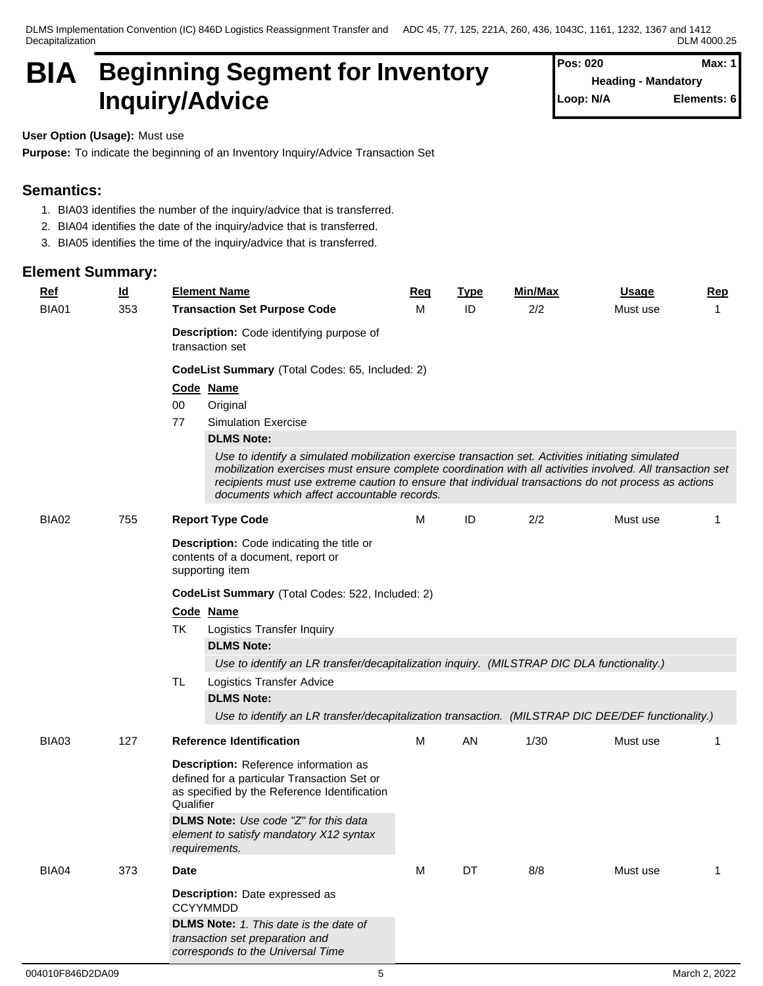# **BIA Beginning Segment for Inventory Inquiry/Advice**

| Pos: 020  | Max: 11                    |
|-----------|----------------------------|
|           | <b>Heading - Mandatory</b> |
| Loop: N/A | Elements: 6                |

**User Option (Usage):** Must use

**Purpose:** To indicate the beginning of an Inventory Inquiry/Advice Transaction Set

# **Semantics:**

- 1. BIA03 identifies the number of the inquiry/advice that is transferred.
- 2. BIA04 identifies the date of the inquiry/advice that is transferred.
- 3. BIA05 identifies the time of the inquiry/advice that is transferred.

| <b>Ref</b> | $\underline{\mathsf{Id}}$ | <b>Element Name</b>                                                                                                                                                                                                                                                                                                                                                     | Req | <b>Type</b> | Min/Max | <b>Usage</b> | <b>Rep</b> |  |  |  |  |
|------------|---------------------------|-------------------------------------------------------------------------------------------------------------------------------------------------------------------------------------------------------------------------------------------------------------------------------------------------------------------------------------------------------------------------|-----|-------------|---------|--------------|------------|--|--|--|--|
| BIA01      | 353                       | <b>Transaction Set Purpose Code</b>                                                                                                                                                                                                                                                                                                                                     | м   | ID          | 2/2     | Must use     | 1          |  |  |  |  |
|            |                           | Description: Code identifying purpose of<br>transaction set                                                                                                                                                                                                                                                                                                             |     |             |         |              |            |  |  |  |  |
|            |                           | CodeList Summary (Total Codes: 65, Included: 2)                                                                                                                                                                                                                                                                                                                         |     |             |         |              |            |  |  |  |  |
|            |                           | Code Name                                                                                                                                                                                                                                                                                                                                                               |     |             |         |              |            |  |  |  |  |
|            |                           | 00<br>Original                                                                                                                                                                                                                                                                                                                                                          |     |             |         |              |            |  |  |  |  |
|            |                           | <b>Simulation Exercise</b><br>77                                                                                                                                                                                                                                                                                                                                        |     |             |         |              |            |  |  |  |  |
|            |                           | <b>DLMS Note:</b>                                                                                                                                                                                                                                                                                                                                                       |     |             |         |              |            |  |  |  |  |
|            |                           | Use to identify a simulated mobilization exercise transaction set. Activities initiating simulated<br>mobilization exercises must ensure complete coordination with all activities involved. All transaction set<br>recipients must use extreme caution to ensure that individual transactions do not process as actions<br>documents which affect accountable records. |     |             |         |              |            |  |  |  |  |
| BIA02      | 755                       | <b>Report Type Code</b>                                                                                                                                                                                                                                                                                                                                                 | м   | ID          | 2/2     | Must use     | 1          |  |  |  |  |
|            |                           | <b>Description:</b> Code indicating the title or<br>contents of a document, report or<br>supporting item                                                                                                                                                                                                                                                                |     |             |         |              |            |  |  |  |  |
|            |                           | CodeList Summary (Total Codes: 522, Included: 2)                                                                                                                                                                                                                                                                                                                        |     |             |         |              |            |  |  |  |  |
|            |                           | Code Name                                                                                                                                                                                                                                                                                                                                                               |     |             |         |              |            |  |  |  |  |
|            |                           | TK<br>Logistics Transfer Inquiry                                                                                                                                                                                                                                                                                                                                        |     |             |         |              |            |  |  |  |  |
|            |                           | <b>DLMS Note:</b>                                                                                                                                                                                                                                                                                                                                                       |     |             |         |              |            |  |  |  |  |
|            |                           | Use to identify an LR transfer/decapitalization inquiry. (MILSTRAP DIC DLA functionality.)                                                                                                                                                                                                                                                                              |     |             |         |              |            |  |  |  |  |
|            |                           | <b>TL</b><br>Logistics Transfer Advice                                                                                                                                                                                                                                                                                                                                  |     |             |         |              |            |  |  |  |  |
|            |                           | <b>DLMS Note:</b>                                                                                                                                                                                                                                                                                                                                                       |     |             |         |              |            |  |  |  |  |
|            |                           | Use to identify an LR transfer/decapitalization transaction. (MILSTRAP DIC DEE/DEF functionality.)                                                                                                                                                                                                                                                                      |     |             |         |              |            |  |  |  |  |
| BIA03      | 127                       | <b>Reference Identification</b>                                                                                                                                                                                                                                                                                                                                         | M   | AN          | 1/30    | Must use     | 1          |  |  |  |  |
|            |                           | Description: Reference information as<br>defined for a particular Transaction Set or<br>as specified by the Reference Identification<br>Qualifier                                                                                                                                                                                                                       |     |             |         |              |            |  |  |  |  |
|            |                           | <b>DLMS Note:</b> Use code "Z" for this data<br>element to satisfy mandatory X12 syntax<br>requirements.                                                                                                                                                                                                                                                                |     |             |         |              |            |  |  |  |  |
| BIA04      | 373                       | <b>Date</b>                                                                                                                                                                                                                                                                                                                                                             | M   | DT          | 8/8     | Must use     | 1          |  |  |  |  |
|            |                           | Description: Date expressed as<br><b>CCYYMMDD</b>                                                                                                                                                                                                                                                                                                                       |     |             |         |              |            |  |  |  |  |
|            |                           | <b>DLMS Note:</b> 1. This date is the date of<br>transaction set preparation and<br>corresponds to the Universal Time                                                                                                                                                                                                                                                   |     |             |         |              |            |  |  |  |  |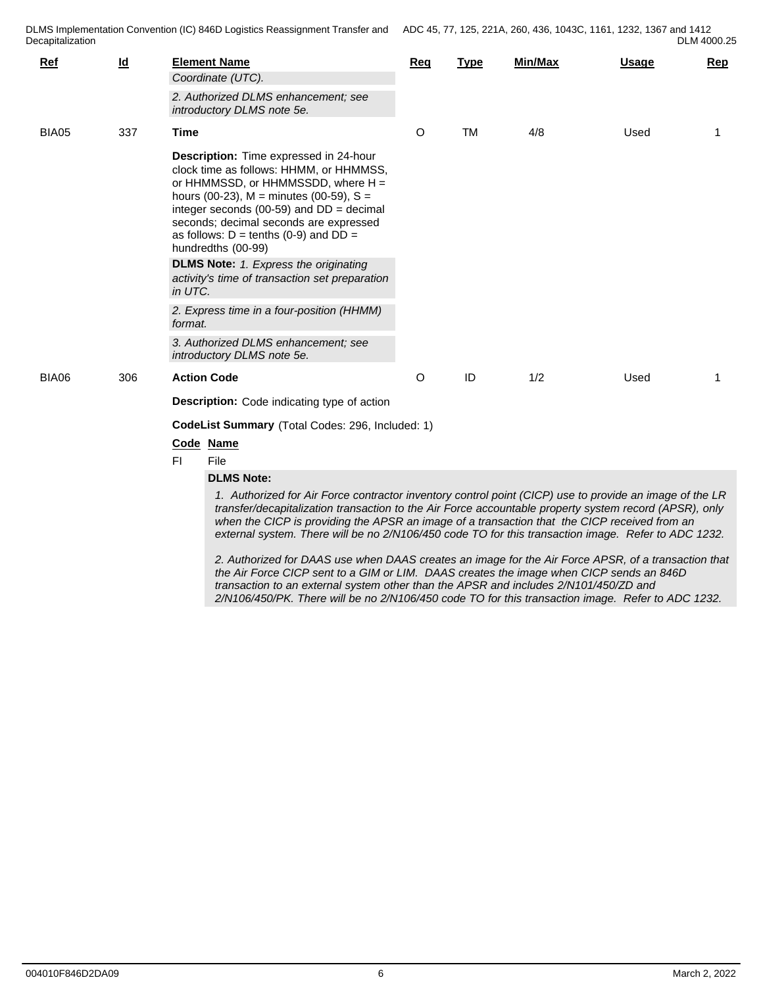| Ref   | $\underline{\mathsf{Id}}$ | <b>Element Name</b>                                                                                                                                                                                                                                                                                                                                                                                                      | Rea     | <b>Type</b> | <b>Min/Max</b> | Usage | Rep |  |  |  |  |
|-------|---------------------------|--------------------------------------------------------------------------------------------------------------------------------------------------------------------------------------------------------------------------------------------------------------------------------------------------------------------------------------------------------------------------------------------------------------------------|---------|-------------|----------------|-------|-----|--|--|--|--|
|       |                           | Coordinate (UTC).                                                                                                                                                                                                                                                                                                                                                                                                        |         |             |                |       |     |  |  |  |  |
|       |                           | 2. Authorized DLMS enhancement; see<br>introductory DLMS note 5e.                                                                                                                                                                                                                                                                                                                                                        |         |             |                |       |     |  |  |  |  |
| BIA05 | 337                       | Time                                                                                                                                                                                                                                                                                                                                                                                                                     | O       | <b>TM</b>   | 4/8            | Used  | -1  |  |  |  |  |
|       |                           | Description: Time expressed in 24-hour<br>clock time as follows: HHMM, or HHMMSS,<br>or HHMMSSD, or HHMMSSDD, where $H =$<br>hours (00-23), $M =$ minutes (00-59), $S =$<br>integer seconds (00-59) and $DD = decimal$<br>seconds; decimal seconds are expressed<br>as follows: $D = \text{tenths}$ (0-9) and $DD =$<br>hundredths (00-99)                                                                               |         |             |                |       |     |  |  |  |  |
|       |                           | <b>DLMS Note:</b> 1. Express the originating<br>activity's time of transaction set preparation<br>in UTC.                                                                                                                                                                                                                                                                                                                |         |             |                |       |     |  |  |  |  |
|       |                           | 2. Express time in a four-position (HHMM)<br>format.                                                                                                                                                                                                                                                                                                                                                                     |         |             |                |       |     |  |  |  |  |
|       |                           | 3. Authorized DLMS enhancement: see<br>introductory DLMS note 5e.                                                                                                                                                                                                                                                                                                                                                        |         |             |                |       |     |  |  |  |  |
| BIA06 | 306                       | <b>Action Code</b>                                                                                                                                                                                                                                                                                                                                                                                                       | $\circ$ | ID          | 1/2            | Used  | -1  |  |  |  |  |
|       |                           | <b>Description:</b> Code indicating type of action                                                                                                                                                                                                                                                                                                                                                                       |         |             |                |       |     |  |  |  |  |
|       |                           | CodeList Summary (Total Codes: 296, Included: 1)                                                                                                                                                                                                                                                                                                                                                                         |         |             |                |       |     |  |  |  |  |
|       |                           | Code Name                                                                                                                                                                                                                                                                                                                                                                                                                |         |             |                |       |     |  |  |  |  |
|       |                           | FI.<br>File                                                                                                                                                                                                                                                                                                                                                                                                              |         |             |                |       |     |  |  |  |  |
|       |                           | <b>DLMS Note:</b>                                                                                                                                                                                                                                                                                                                                                                                                        |         |             |                |       |     |  |  |  |  |
|       |                           | 1. Authorized for Air Force contractor inventory control point (CICP) use to provide an image of the LR<br>transfer/decapitalization transaction to the Air Force accountable property system record (APSR), only<br>when the CICP is providing the APSR an image of a transaction that the CICP received from an<br>external system. There will be no 2/N106/450 code TO for this transaction image. Refer to ADC 1232. |         |             |                |       |     |  |  |  |  |
|       |                           | 2. Authorized for DAAS use when DAAS creates an image for the Air Force APSR, of a transaction that<br>the Air Force CICP sent to a GIM or LIM. DAAS creates the image when CICP sends an 846D<br>transaction to an external system other than the APSR and includes 2/N101/450/ZD and                                                                                                                                   |         |             |                |       |     |  |  |  |  |

*2/N106/450/PK. There will be no 2/N106/450 code TO for this transaction image. Refer to ADC 1232.*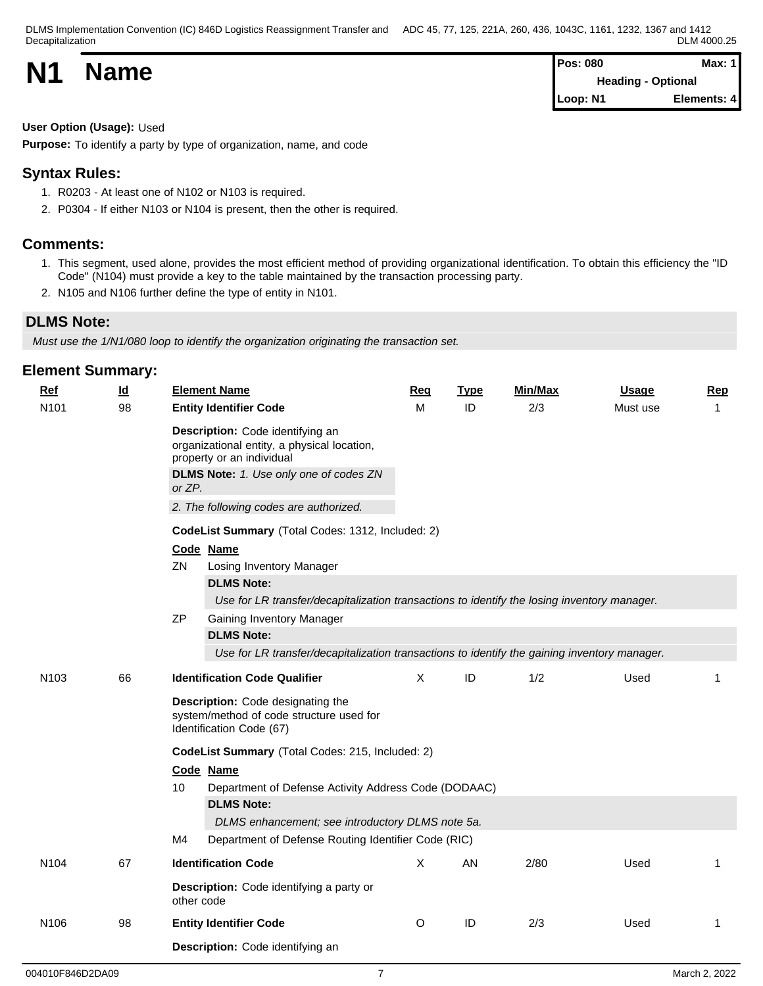| <b>N1</b> |             | <b>Pos: 080</b>           | <b>Max: 1</b> |  |
|-----------|-------------|---------------------------|---------------|--|
|           | <b>Name</b> | <b>Heading - Optional</b> |               |  |
|           |             | Loop: N1                  | Elements: 4   |  |

# **User Option (Usage):** Used

**Purpose:** To identify a party by type of organization, name, and code

# **Syntax Rules:**

- 1. R0203 At least one of N102 or N103 is required.
- 2. P0304 If either N103 or N104 is present, then the other is required.

# **Comments:**

- 1. This segment, used alone, provides the most efficient method of providing organizational identification. To obtain this efficiency the "ID Code" (N104) must provide a key to the table maintained by the transaction processing party.
- 2. N105 and N106 further define the type of entity in N101.

# **DLMS Note:**

*Must use the 1/N1/080 loop to identify the organization originating the transaction set.*

| <b>Ref</b>       | $\underline{\mathsf{Id}}$ | <b>Element Name</b>                                                                                                                                              | <b>Req</b>                                           | <b>Type</b> | <b>Min/Max</b> | Usage    | Rep         |  |  |  |  |
|------------------|---------------------------|------------------------------------------------------------------------------------------------------------------------------------------------------------------|------------------------------------------------------|-------------|----------------|----------|-------------|--|--|--|--|
| N <sub>101</sub> | 98                        | <b>Entity Identifier Code</b>                                                                                                                                    | м                                                    | ID          | 2/3            | Must use | $\mathbf 1$ |  |  |  |  |
|                  |                           | Description: Code identifying an<br>organizational entity, a physical location,<br>property or an individual<br>DLMS Note: 1. Use only one of codes ZN<br>or ZP. |                                                      |             |                |          |             |  |  |  |  |
|                  |                           | 2. The following codes are authorized.                                                                                                                           |                                                      |             |                |          |             |  |  |  |  |
|                  |                           | CodeList Summary (Total Codes: 1312, Included: 2)                                                                                                                |                                                      |             |                |          |             |  |  |  |  |
|                  |                           | Code Name                                                                                                                                                        |                                                      |             |                |          |             |  |  |  |  |
|                  |                           | ZN<br>Losing Inventory Manager                                                                                                                                   |                                                      |             |                |          |             |  |  |  |  |
|                  |                           | <b>DLMS Note:</b>                                                                                                                                                |                                                      |             |                |          |             |  |  |  |  |
|                  |                           | Use for LR transfer/decapitalization transactions to identify the losing inventory manager.<br>ZP<br>Gaining Inventory Manager                                   |                                                      |             |                |          |             |  |  |  |  |
|                  |                           | <b>DLMS Note:</b>                                                                                                                                                |                                                      |             |                |          |             |  |  |  |  |
|                  |                           | Use for LR transfer/decapitalization transactions to identify the gaining inventory manager.                                                                     |                                                      |             |                |          |             |  |  |  |  |
| N <sub>103</sub> | 66                        | <b>Identification Code Qualifier</b>                                                                                                                             | $\mathsf{X}$                                         | ID          | 1/2            | Used     | 1           |  |  |  |  |
|                  |                           | Description: Code designating the<br>system/method of code structure used for<br>Identification Code (67)                                                        |                                                      |             |                |          |             |  |  |  |  |
|                  |                           | CodeList Summary (Total Codes: 215, Included: 2)                                                                                                                 |                                                      |             |                |          |             |  |  |  |  |
|                  |                           | Code Name                                                                                                                                                        |                                                      |             |                |          |             |  |  |  |  |
|                  |                           | 10                                                                                                                                                               | Department of Defense Activity Address Code (DODAAC) |             |                |          |             |  |  |  |  |
|                  |                           | <b>DLMS Note:</b>                                                                                                                                                |                                                      |             |                |          |             |  |  |  |  |
|                  |                           | DLMS enhancement; see introductory DLMS note 5a.                                                                                                                 |                                                      |             |                |          |             |  |  |  |  |
|                  |                           | M4<br>Department of Defense Routing Identifier Code (RIC)                                                                                                        |                                                      |             |                |          |             |  |  |  |  |
| N <sub>104</sub> | 67                        | <b>Identification Code</b>                                                                                                                                       | X                                                    | AN          | 2/80           | Used     | 1           |  |  |  |  |
|                  |                           | Description: Code identifying a party or<br>other code                                                                                                           |                                                      |             |                |          |             |  |  |  |  |
| N106             | 98                        | <b>Entity Identifier Code</b>                                                                                                                                    | O                                                    | ID          | 2/3            | Used     | 1           |  |  |  |  |
|                  |                           | Description: Code identifying an                                                                                                                                 |                                                      |             |                |          |             |  |  |  |  |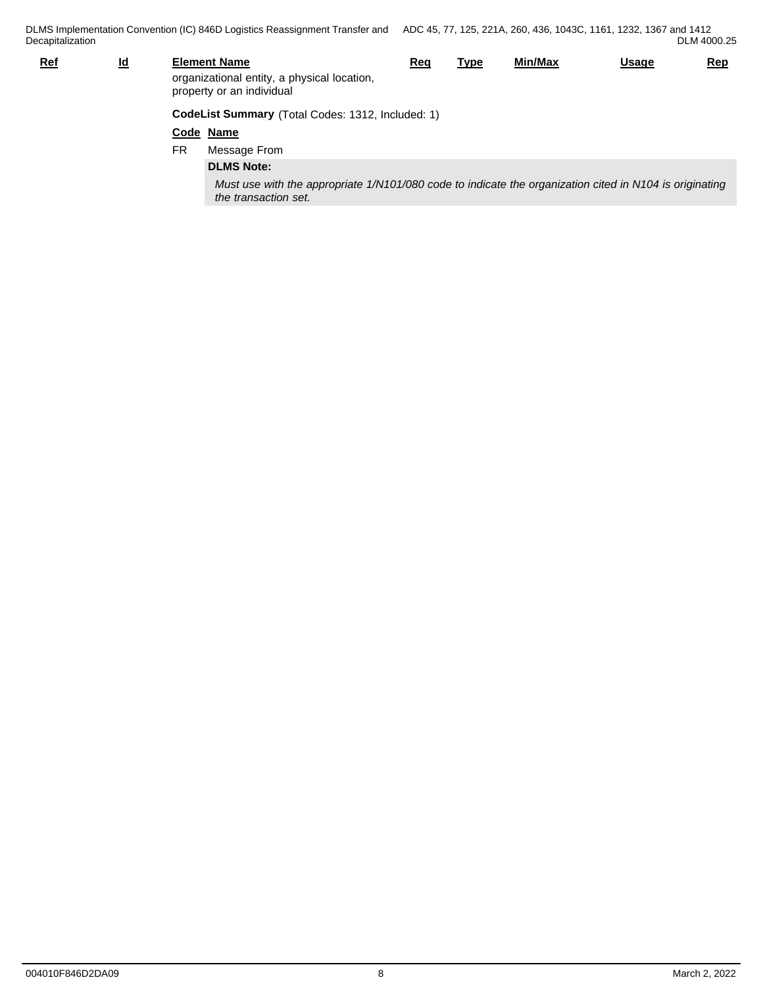| <b>Ref</b> | <u>ld</u>                                         |     | <b>Element Name</b><br>organizational entity, a physical location,<br>property or an individual                                 | Req | <u>Type</u> | Min/Max | <b>Usage</b> | Rep |  |
|------------|---------------------------------------------------|-----|---------------------------------------------------------------------------------------------------------------------------------|-----|-------------|---------|--------------|-----|--|
|            | CodeList Summary (Total Codes: 1312, Included: 1) |     |                                                                                                                                 |     |             |         |              |     |  |
|            |                                                   |     | Code Name                                                                                                                       |     |             |         |              |     |  |
|            |                                                   | FR. | Message From                                                                                                                    |     |             |         |              |     |  |
|            |                                                   |     | <b>DLMS Note:</b>                                                                                                               |     |             |         |              |     |  |
|            |                                                   |     | Must use with the appropriate 1/N101/080 code to indicate the organization cited in N104 is originating<br>the transaction set. |     |             |         |              |     |  |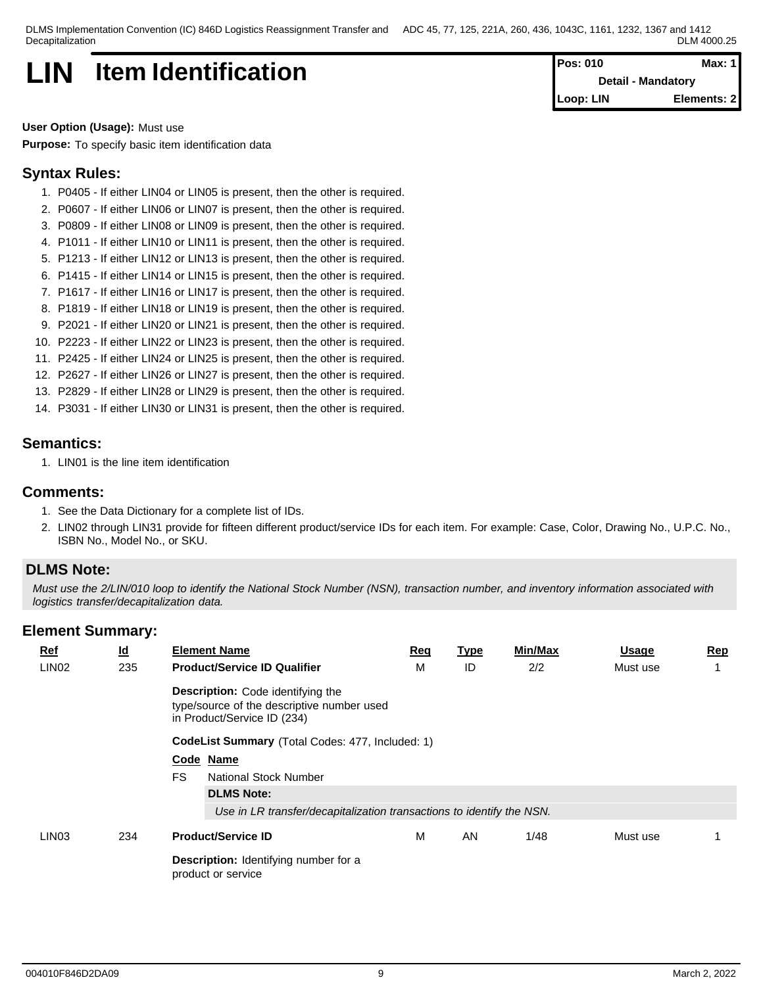# **LIN** Item Identification **Pos: 010 Max: 1 Pos: 010 Max: 1**

**Detail - Mandatory Loop: LIN Elements: 2**

**User Option (Usage):** Must use

**Purpose:** To specify basic item identification data

# **Syntax Rules:**

- 1. P0405 If either LIN04 or LIN05 is present, then the other is required.
- 2. P0607 If either LIN06 or LIN07 is present, then the other is required.
- 3. P0809 If either LIN08 or LIN09 is present, then the other is required.
- 4. P1011 If either LIN10 or LIN11 is present, then the other is required.
- 5. P1213 If either LIN12 or LIN13 is present, then the other is required.
- 6. P1415 If either LIN14 or LIN15 is present, then the other is required.
- 7. P1617 If either LIN16 or LIN17 is present, then the other is required.
- 8. P1819 If either LIN18 or LIN19 is present, then the other is required.
- 9. P2021 If either LIN20 or LIN21 is present, then the other is required.
- 10. P2223 If either LIN22 or LIN23 is present, then the other is required.
- 11. P2425 If either LIN24 or LIN25 is present, then the other is required.
- 12. P2627 If either LIN26 or LIN27 is present, then the other is required.
- 13. P2829 If either LIN28 or LIN29 is present, then the other is required.
- 14. P3031 If either LIN30 or LIN31 is present, then the other is required.

# **Semantics:**

1. LIN01 is the line item identification

### **Comments:**

- 1. See the Data Dictionary for a complete list of IDs.
- 2. LIN02 through LIN31 provide for fifteen different product/service IDs for each item. For example: Case, Color, Drawing No., U.P.C. No., ISBN No., Model No., or SKU.

# **DLMS Note:**

*Must use the 2/LIN/010 loop to identify the National Stock Number (NSN), transaction number, and inventory information associated with logistics transfer/decapitalization data.*

| $Ref$<br>LIN <sub>02</sub> | $\underline{\mathsf{Id}}$<br>235 | <b>Element Name</b><br><b>Product/Service ID Qualifier</b>                                                            | <u>Req</u><br>M | <u>Type</u><br>ID | Min/Max<br>2/2 | <u>Usage</u><br>Must use | <u>Rep</u> |  |  |  |  |  |
|----------------------------|----------------------------------|-----------------------------------------------------------------------------------------------------------------------|-----------------|-------------------|----------------|--------------------------|------------|--|--|--|--|--|
|                            |                                  | <b>Description:</b> Code identifying the<br>type/source of the descriptive number used<br>in Product/Service ID (234) |                 |                   |                |                          |            |  |  |  |  |  |
|                            |                                  | CodeList Summary (Total Codes: 477, Included: 1)                                                                      |                 |                   |                |                          |            |  |  |  |  |  |
|                            |                                  | Code Name                                                                                                             |                 |                   |                |                          |            |  |  |  |  |  |
|                            |                                  | <b>FS</b><br>National Stock Number                                                                                    |                 |                   |                |                          |            |  |  |  |  |  |
|                            |                                  | <b>DLMS Note:</b>                                                                                                     |                 |                   |                |                          |            |  |  |  |  |  |
|                            |                                  | Use in LR transfer/decapitalization transactions to identify the NSN.                                                 |                 |                   |                |                          |            |  |  |  |  |  |
| LIN <sub>03</sub>          | 234                              | <b>Product/Service ID</b>                                                                                             | М               | AN                | 1/48           | Must use                 |            |  |  |  |  |  |
|                            |                                  | Description: Identifying number for a<br>product or service                                                           |                 |                   |                |                          |            |  |  |  |  |  |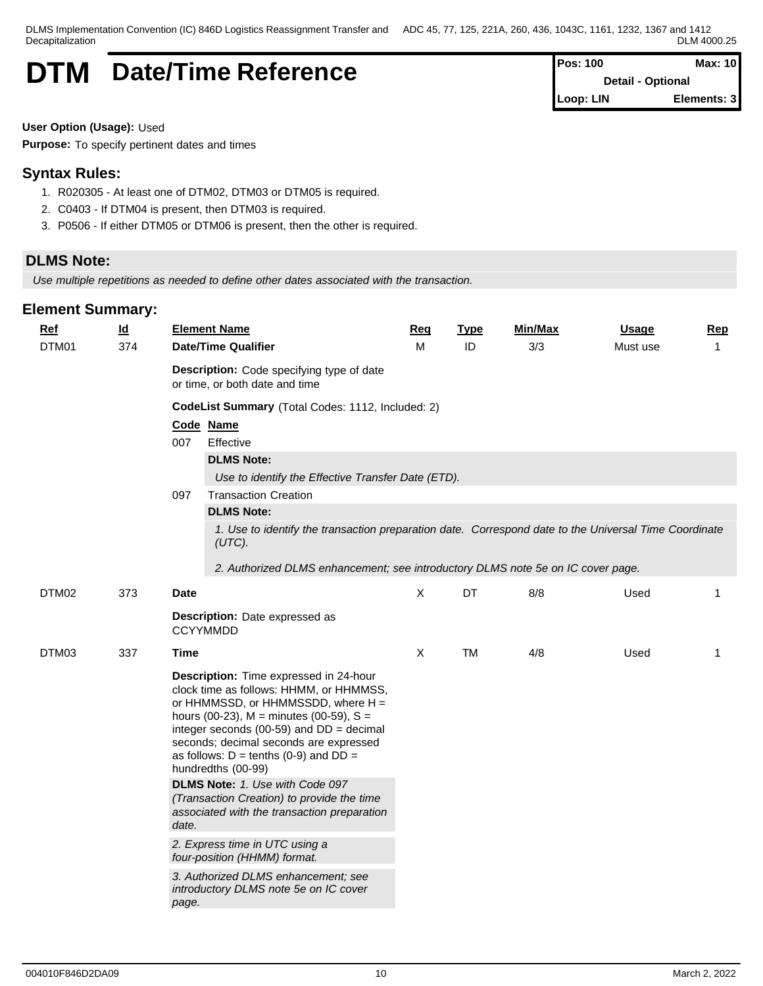# **DTM** Date/Time Reference

| Pos: 100  | Max: 10                  |
|-----------|--------------------------|
|           | <b>Detail - Optional</b> |
| Loop: LIN | Elements: 3              |

**User Option (Usage):** Used

**Purpose:** To specify pertinent dates and times

# **Syntax Rules:**

- 1. R020305 At least one of DTM02, DTM03 or DTM05 is required.
- 2. C0403 If DTM04 is present, then DTM03 is required.
- 3. P0506 If either DTM05 or DTM06 is present, then the other is required.

# **DLMS Note:**

*Use multiple repetitions as needed to define other dates associated with the transaction.*

| Ref<br>DTM01 | <u>ld</u><br>374 | <b>Element Name</b><br><b>Date/Time Qualifier</b>                                                                                                                                      |                                                                                                                                                                                                                                                                                                                                                                                                                                             | Req<br>M     | <b>Type</b><br>ID | Min/Max<br>3/3 | <b>Usage</b><br>Must use | <b>Rep</b><br>$\mathbf{1}$ |
|--------------|------------------|----------------------------------------------------------------------------------------------------------------------------------------------------------------------------------------|---------------------------------------------------------------------------------------------------------------------------------------------------------------------------------------------------------------------------------------------------------------------------------------------------------------------------------------------------------------------------------------------------------------------------------------------|--------------|-------------------|----------------|--------------------------|----------------------------|
|              |                  | or time, or both date and time                                                                                                                                                         | Description: Code specifying type of date                                                                                                                                                                                                                                                                                                                                                                                                   |              |                   |                |                          |                            |
|              |                  |                                                                                                                                                                                        | CodeList Summary (Total Codes: 1112, Included: 2)                                                                                                                                                                                                                                                                                                                                                                                           |              |                   |                |                          |                            |
|              |                  | Code Name<br>007<br>Effective                                                                                                                                                          |                                                                                                                                                                                                                                                                                                                                                                                                                                             |              |                   |                |                          |                            |
|              |                  | <b>DLMS Note:</b>                                                                                                                                                                      |                                                                                                                                                                                                                                                                                                                                                                                                                                             |              |                   |                |                          |                            |
|              |                  |                                                                                                                                                                                        | Use to identify the Effective Transfer Date (ETD).                                                                                                                                                                                                                                                                                                                                                                                          |              |                   |                |                          |                            |
|              |                  | 097<br><b>Transaction Creation</b>                                                                                                                                                     |                                                                                                                                                                                                                                                                                                                                                                                                                                             |              |                   |                |                          |                            |
|              |                  | <b>DLMS Note:</b>                                                                                                                                                                      |                                                                                                                                                                                                                                                                                                                                                                                                                                             |              |                   |                |                          |                            |
|              |                  | (UTC).                                                                                                                                                                                 | 1. Use to identify the transaction preparation date. Correspond date to the Universal Time Coordinate                                                                                                                                                                                                                                                                                                                                       |              |                   |                |                          |                            |
|              |                  |                                                                                                                                                                                        | 2. Authorized DLMS enhancement; see introductory DLMS note 5e on IC cover page.                                                                                                                                                                                                                                                                                                                                                             |              |                   |                |                          |                            |
| DTM02        | 373              | <b>Date</b>                                                                                                                                                                            |                                                                                                                                                                                                                                                                                                                                                                                                                                             | $\mathsf{X}$ | <b>DT</b>         | 8/8            | Used                     | $\mathbf 1$                |
|              |                  | Description: Date expressed as<br><b>CCYYMMDD</b>                                                                                                                                      |                                                                                                                                                                                                                                                                                                                                                                                                                                             |              |                   |                |                          |                            |
| DTM03        | 337              | Time                                                                                                                                                                                   |                                                                                                                                                                                                                                                                                                                                                                                                                                             | X            | <b>TM</b>         | 4/8            | Used                     | $\mathbf{1}$               |
|              |                  | as follows: $D =$ tenths (0-9) and $DD =$<br>hundredths (00-99)<br>DLMS Note: 1. Use with Code 097<br>date.<br>2. Express time in UTC using a<br>four-position (HHMM) format.<br>page. | Description: Time expressed in 24-hour<br>clock time as follows: HHMM, or HHMMSS,<br>or HHMMSSD, or HHMMSSDD, where H =<br>hours (00-23), $M =$ minutes (00-59), $S =$<br>integer seconds (00-59) and $DD = decimal$<br>seconds; decimal seconds are expressed<br>(Transaction Creation) to provide the time<br>associated with the transaction preparation<br>3. Authorized DLMS enhancement; see<br>introductory DLMS note 5e on IC cover |              |                   |                |                          |                            |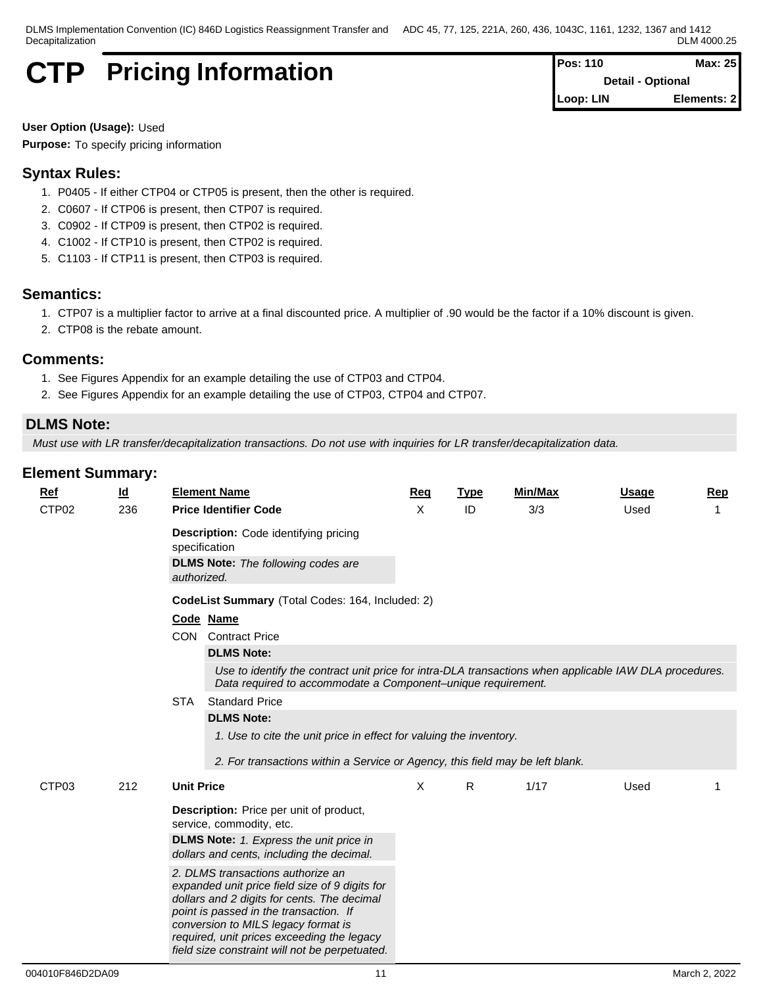# **CTP** Pricing Information **Pos:** 110 **Pos:** 110 **Max:** 25

**Detail - Optional Loop: LIN Elements: 2**

**User Option (Usage):** Used **Purpose:** To specify pricing information

# **Syntax Rules:**

- 1. P0405 If either CTP04 or CTP05 is present, then the other is required.
- 2. C0607 If CTP06 is present, then CTP07 is required.
- 3. C0902 If CTP09 is present, then CTP02 is required.
- 4. C1002 If CTP10 is present, then CTP02 is required.
- 5. C1103 If CTP11 is present, then CTP03 is required.

# **Semantics:**

- 1. CTP07 is a multiplier factor to arrive at a final discounted price. A multiplier of .90 would be the factor if a 10% discount is given.
- 2. CTP08 is the rebate amount.

# **Comments:**

- 1. See Figures Appendix for an example detailing the use of CTP03 and CTP04.
- 2. See Figures Appendix for an example detailing the use of CTP03, CTP04 and CTP07.

# **DLMS Note:**

*Must use with LR transfer/decapitalization transactions. Do not use with inquiries for LR transfer/decapitalization data.*

| $\underline{\mathsf{Id}}$<br><b>Ref</b> |            | <b>Element Name</b>                                                                                                                                                                                                                                                                                                                                                                                                                                                                              | <b>Req</b> | <b>Type</b> | Min/Max | <b>Usage</b> | Rep |
|-----------------------------------------|------------|--------------------------------------------------------------------------------------------------------------------------------------------------------------------------------------------------------------------------------------------------------------------------------------------------------------------------------------------------------------------------------------------------------------------------------------------------------------------------------------------------|------------|-------------|---------|--------------|-----|
| CTP02<br>236                            |            | <b>Price Identifier Code</b>                                                                                                                                                                                                                                                                                                                                                                                                                                                                     | X          | ID          | 3/3     | Used         |     |
|                                         |            | <b>Description:</b> Code identifying pricing<br>specification<br><b>DLMS Note:</b> The following codes are                                                                                                                                                                                                                                                                                                                                                                                       |            |             |         |              |     |
|                                         |            | authorized.                                                                                                                                                                                                                                                                                                                                                                                                                                                                                      |            |             |         |              |     |
|                                         |            | CodeList Summary (Total Codes: 164, Included: 2)                                                                                                                                                                                                                                                                                                                                                                                                                                                 |            |             |         |              |     |
|                                         |            | Code Name                                                                                                                                                                                                                                                                                                                                                                                                                                                                                        |            |             |         |              |     |
|                                         |            | <b>CON</b> Contract Price                                                                                                                                                                                                                                                                                                                                                                                                                                                                        |            |             |         |              |     |
|                                         |            | <b>DLMS Note:</b>                                                                                                                                                                                                                                                                                                                                                                                                                                                                                |            |             |         |              |     |
|                                         |            | Use to identify the contract unit price for intra-DLA transactions when applicable IAW DLA procedures.<br>Data required to accommodate a Component-unique requirement.                                                                                                                                                                                                                                                                                                                           |            |             |         |              |     |
|                                         | <b>STA</b> | <b>Standard Price</b>                                                                                                                                                                                                                                                                                                                                                                                                                                                                            |            |             |         |              |     |
|                                         |            | <b>DLMS Note:</b><br>1. Use to cite the unit price in effect for valuing the inventory.<br>2. For transactions within a Service or Agency, this field may be left blank.                                                                                                                                                                                                                                                                                                                         |            |             |         |              |     |
| CTP03<br>212                            |            | <b>Unit Price</b>                                                                                                                                                                                                                                                                                                                                                                                                                                                                                | X          | R           | 1/17    | Used         |     |
|                                         |            | <b>Description:</b> Price per unit of product,<br>service, commodity, etc.<br><b>DLMS Note:</b> 1. Express the unit price in<br>dollars and cents, including the decimal.<br>2. DLMS transactions authorize an<br>expanded unit price field size of 9 digits for<br>dollars and 2 digits for cents. The decimal<br>point is passed in the transaction. If<br>conversion to MILS legacy format is<br>required, unit prices exceeding the legacy<br>field size constraint will not be perpetuated. |            |             |         |              |     |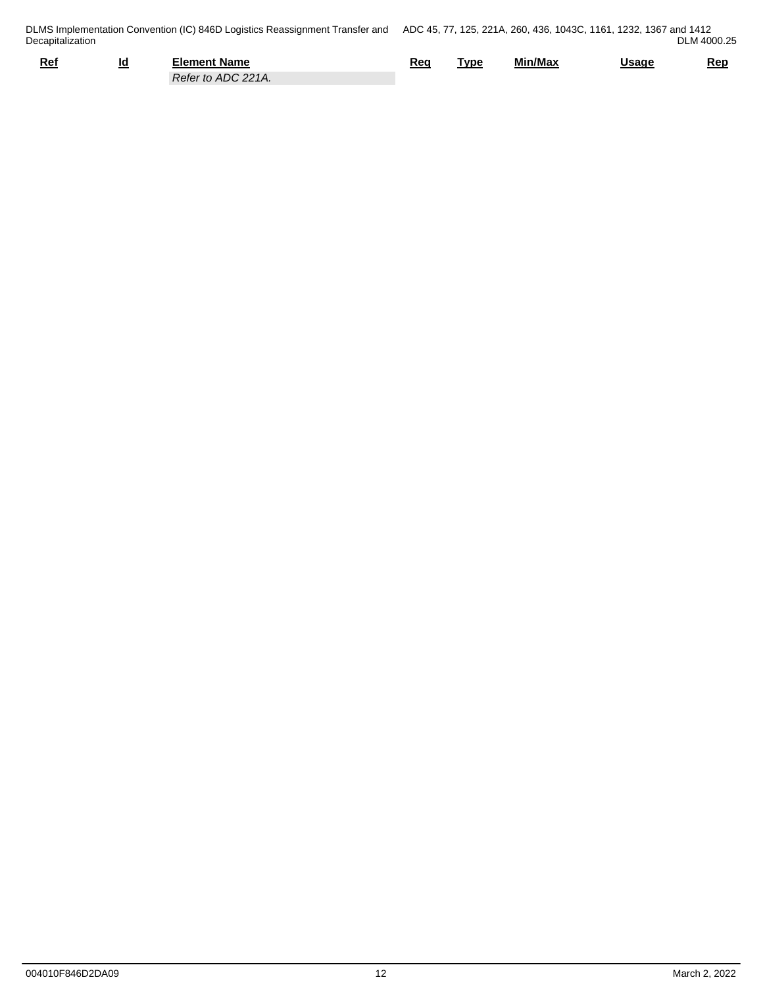| Ref | ינ<br>__ | Element Name                     | Req<br>____ | Tvpe | Min/Max | <u>Usage</u> | Rep |
|-----|----------|----------------------------------|-------------|------|---------|--------------|-----|
|     |          | ADC 221A.<br>Reter<br>.<br>. U 1 |             |      |         |              |     |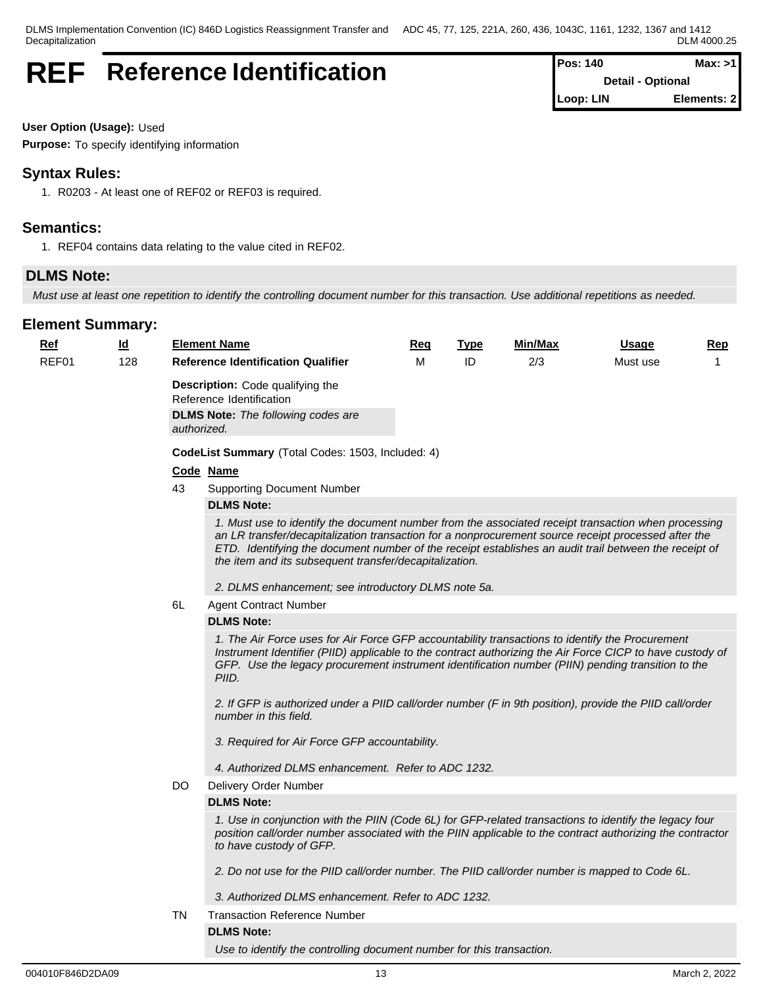# **REF** Reference Identification

| <b>IPos: 140</b> | Max: >11                 |
|------------------|--------------------------|
|                  | <b>Detail - Optional</b> |
| Loop: LIN        | Elements: 2              |

**User Option (Usage):** Used

**Purpose:** To specify identifying information

# **Syntax Rules:**

1. R0203 - At least one of REF02 or REF03 is required.

# **Semantics:**

1. REF04 contains data relating to the value cited in REF02.

# **DLMS Note:**

*Must use at least one repetition to identify the controlling document number for this transaction. Use additional repetitions as needed.* 

| <u>Ref</u> | <u>ld</u> |           | <b>Element Name</b>                                                                                                                                                                                                                                                                                                                                                           | <u>Req</u> | <b>Type</b> | Min/Max | <b>Usage</b> | <u>Rep</u>   |
|------------|-----------|-----------|-------------------------------------------------------------------------------------------------------------------------------------------------------------------------------------------------------------------------------------------------------------------------------------------------------------------------------------------------------------------------------|------------|-------------|---------|--------------|--------------|
| REF01      | 128       |           | <b>Reference Identification Qualifier</b>                                                                                                                                                                                                                                                                                                                                     | M          | ID          | 2/3     | Must use     | $\mathbf{1}$ |
|            |           |           | <b>Description:</b> Code qualifying the<br>Reference Identification                                                                                                                                                                                                                                                                                                           |            |             |         |              |              |
|            |           |           | <b>DLMS Note:</b> The following codes are                                                                                                                                                                                                                                                                                                                                     |            |             |         |              |              |
|            |           |           | authorized.                                                                                                                                                                                                                                                                                                                                                                   |            |             |         |              |              |
|            |           |           | CodeList Summary (Total Codes: 1503, Included: 4)                                                                                                                                                                                                                                                                                                                             |            |             |         |              |              |
|            |           |           | Code Name                                                                                                                                                                                                                                                                                                                                                                     |            |             |         |              |              |
|            |           | 43        | <b>Supporting Document Number</b>                                                                                                                                                                                                                                                                                                                                             |            |             |         |              |              |
|            |           |           | <b>DLMS Note:</b>                                                                                                                                                                                                                                                                                                                                                             |            |             |         |              |              |
|            |           |           | 1. Must use to identify the document number from the associated receipt transaction when processing<br>an LR transfer/decapitalization transaction for a nonprocurement source receipt processed after the<br>ETD. Identifying the document number of the receipt establishes an audit trail between the receipt of<br>the item and its subsequent transfer/decapitalization. |            |             |         |              |              |
|            |           |           | 2. DLMS enhancement; see introductory DLMS note 5a.                                                                                                                                                                                                                                                                                                                           |            |             |         |              |              |
|            |           | 6L        | <b>Agent Contract Number</b>                                                                                                                                                                                                                                                                                                                                                  |            |             |         |              |              |
|            |           |           | <b>DLMS Note:</b>                                                                                                                                                                                                                                                                                                                                                             |            |             |         |              |              |
|            |           |           | 1. The Air Force uses for Air Force GFP accountability transactions to identify the Procurement<br>Instrument Identifier (PIID) applicable to the contract authorizing the Air Force CICP to have custody of<br>GFP. Use the legacy procurement instrument identification number (PIIN) pending transition to the<br>PIID.                                                    |            |             |         |              |              |
|            |           |           | 2. If GFP is authorized under a PIID call/order number (F in 9th position), provide the PIID call/order<br>number in this field.                                                                                                                                                                                                                                              |            |             |         |              |              |
|            |           |           | 3. Required for Air Force GFP accountability.                                                                                                                                                                                                                                                                                                                                 |            |             |         |              |              |
|            |           |           | 4. Authorized DLMS enhancement. Refer to ADC 1232.                                                                                                                                                                                                                                                                                                                            |            |             |         |              |              |
|            |           | DO.       | Delivery Order Number                                                                                                                                                                                                                                                                                                                                                         |            |             |         |              |              |
|            |           |           | <b>DLMS Note:</b>                                                                                                                                                                                                                                                                                                                                                             |            |             |         |              |              |
|            |           |           | 1. Use in conjunction with the PIIN (Code 6L) for GFP-related transactions to identify the legacy four<br>position call/order number associated with the PIIN applicable to the contract authorizing the contractor<br>to have custody of GFP.                                                                                                                                |            |             |         |              |              |
|            |           |           | 2. Do not use for the PIID call/order number. The PIID call/order number is mapped to Code 6L.                                                                                                                                                                                                                                                                                |            |             |         |              |              |
|            |           |           | 3. Authorized DLMS enhancement. Refer to ADC 1232.                                                                                                                                                                                                                                                                                                                            |            |             |         |              |              |
|            |           | <b>TN</b> | <b>Transaction Reference Number</b>                                                                                                                                                                                                                                                                                                                                           |            |             |         |              |              |
|            |           |           | <b>DLMS Note:</b>                                                                                                                                                                                                                                                                                                                                                             |            |             |         |              |              |
|            |           |           | Use to identify the controlling document number for this transaction.                                                                                                                                                                                                                                                                                                         |            |             |         |              |              |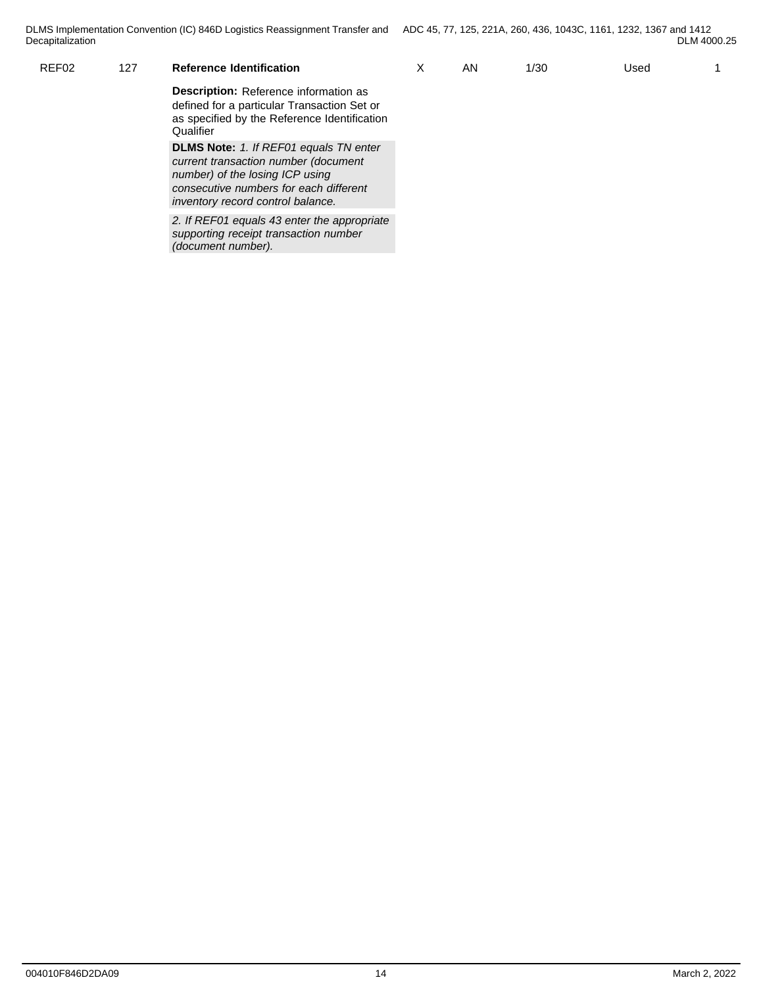| Decapitalization |     | DLMS Implementation Convention (IC) 846D Logistics Reassignment Transfer and ADC 45, 77, 125, 221A, 260, 436, 1043C, 1161, 1232, 1367 and 1412           |    |      |      | DLM 4000.25 |
|------------------|-----|----------------------------------------------------------------------------------------------------------------------------------------------------------|----|------|------|-------------|
| REF02            | 127 | <b>Reference Identification</b>                                                                                                                          | AN | 1/30 | Used |             |
|                  |     | <b>Description:</b> Reference information as<br>defined for a particular Transaction Set or<br>as specified by the Reference Identification<br>Qualifier |    |      |      |             |
|                  |     | <b>DLMS Note:</b> 1. If REF01 equals TN enter<br>current transaction number (document                                                                    |    |      |      |             |
|                  |     |                                                                                                                                                          |    |      |      |             |

*number) of the losing ICP using consecutive numbers for each different inventory record control balance.*

*2. If REF01 equals 43 enter the appropriate supporting receipt transaction number (document number).*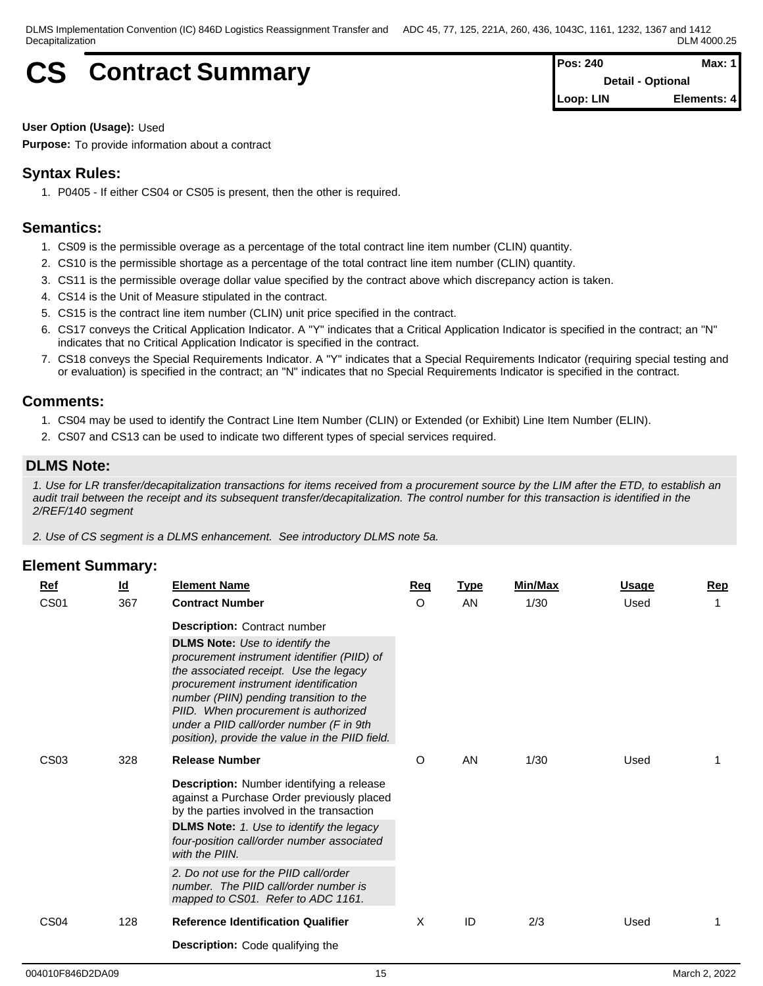# $CS$  **Contract Summary**

| Pos: 240  | Max: $1$                 |
|-----------|--------------------------|
|           | <b>Detail - Optional</b> |
| Loop: LIN | Elements: 4              |

### **User Option (Usage):** Used

**Purpose:** To provide information about a contract

# **Syntax Rules:**

1. P0405 - If either CS04 or CS05 is present, then the other is required.

# **Semantics:**

- 1. CS09 is the permissible overage as a percentage of the total contract line item number (CLIN) quantity.
- 2. CS10 is the permissible shortage as a percentage of the total contract line item number (CLIN) quantity.
- 3. CS11 is the permissible overage dollar value specified by the contract above which discrepancy action is taken.
- 4. CS14 is the Unit of Measure stipulated in the contract.
- 5. CS15 is the contract line item number (CLIN) unit price specified in the contract.
- 6. CS17 conveys the Critical Application Indicator. A "Y" indicates that a Critical Application Indicator is specified in the contract; an "N" indicates that no Critical Application Indicator is specified in the contract.
- 7. CS18 conveys the Special Requirements Indicator. A "Y" indicates that a Special Requirements Indicator (requiring special testing and or evaluation) is specified in the contract; an "N" indicates that no Special Requirements Indicator is specified in the contract.

### **Comments:**

- 1. CS04 may be used to identify the Contract Line Item Number (CLIN) or Extended (or Exhibit) Line Item Number (ELIN).
- 2. CS07 and CS13 can be used to indicate two different types of special services required.

# **DLMS Note:**

*1. Use for LR transfer/decapitalization transactions for items received from a procurement source by the LIM after the ETD, to establish an audit trail between the receipt and its subsequent transfer/decapitalization. The control number for this transaction is identified in the 2/REF/140 segment*

*2. Use of CS segment is a DLMS enhancement. See introductory DLMS note 5a.*

| Ref              | $\underline{\mathsf{Id}}$ | <b>Element Name</b>                                                                                                                                                                                                                                                                                                                                       | <u>Req</u> | <b>Type</b> | <b>Min/Max</b> | <b>Usage</b> | <b>Rep</b> |
|------------------|---------------------------|-----------------------------------------------------------------------------------------------------------------------------------------------------------------------------------------------------------------------------------------------------------------------------------------------------------------------------------------------------------|------------|-------------|----------------|--------------|------------|
| CS <sub>01</sub> | 367                       | <b>Contract Number</b>                                                                                                                                                                                                                                                                                                                                    | $\circ$    | AN          | 1/30           | Used         | 1          |
|                  |                           | <b>Description:</b> Contract number                                                                                                                                                                                                                                                                                                                       |            |             |                |              |            |
|                  |                           | <b>DLMS Note:</b> Use to identify the<br>procurement instrument identifier (PIID) of<br>the associated receipt. Use the legacy<br>procurement instrument identification<br>number (PIIN) pending transition to the<br>PIID. When procurement is authorized<br>under a PIID call/order number (F in 9th<br>position), provide the value in the PIID field. |            |             |                |              |            |
| CS <sub>03</sub> | 328                       | <b>Release Number</b>                                                                                                                                                                                                                                                                                                                                     | O          | AN          | 1/30           | Used         |            |
|                  |                           | Description: Number identifying a release<br>against a Purchase Order previously placed<br>by the parties involved in the transaction<br><b>DLMS Note:</b> 1. Use to identify the legacy<br>four-position call/order number associated<br>with the PIIN.                                                                                                  |            |             |                |              |            |
|                  |                           | 2. Do not use for the PIID call/order<br>number. The PIID call/order number is<br>mapped to CS01. Refer to ADC 1161.                                                                                                                                                                                                                                      |            |             |                |              |            |
| CS <sub>04</sub> | 128                       | <b>Reference Identification Qualifier</b>                                                                                                                                                                                                                                                                                                                 | X          | ID          | 2/3            | Used         |            |
|                  |                           | <b>Description:</b> Code qualifying the                                                                                                                                                                                                                                                                                                                   |            |             |                |              |            |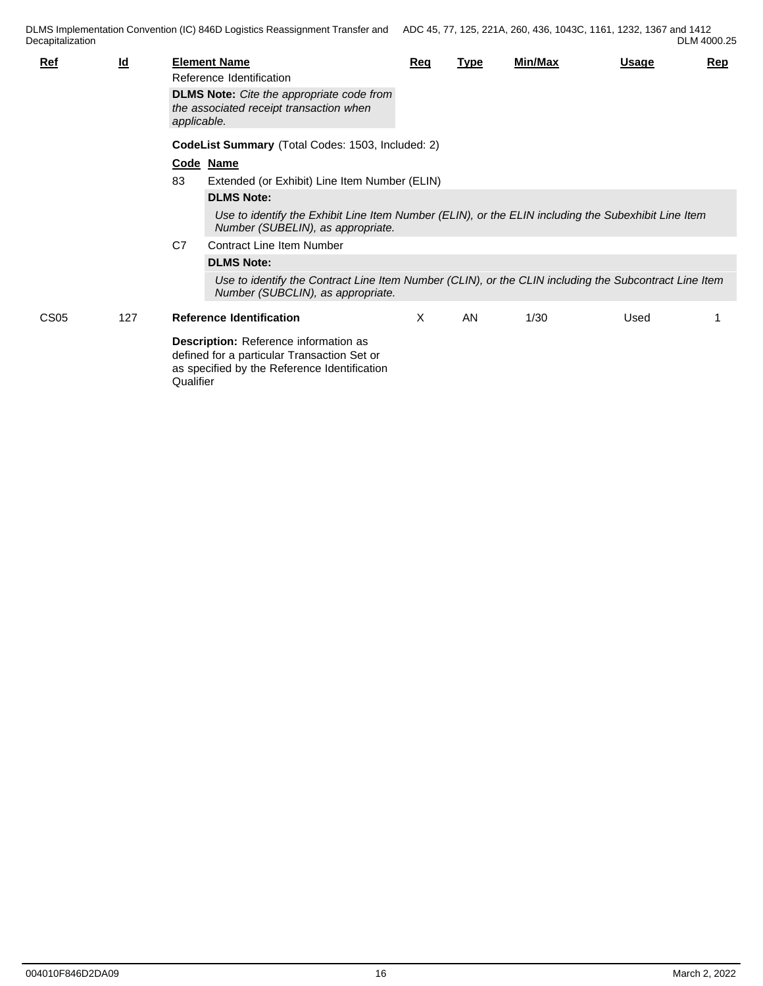| <b>Ref</b>       | $\underline{\mathsf{Id}}$ | applicable. | <b>Element Name</b><br>Reference Identification<br><b>DLMS Note:</b> Cite the appropriate code from<br>the associated receipt transaction when | Req | <b>Type</b> | <b>Min/Max</b> | Usage | Rep |
|------------------|---------------------------|-------------|------------------------------------------------------------------------------------------------------------------------------------------------|-----|-------------|----------------|-------|-----|
|                  |                           |             | CodeList Summary (Total Codes: 1503, Included: 2)                                                                                              |     |             |                |       |     |
|                  |                           |             | Code Name                                                                                                                                      |     |             |                |       |     |
|                  |                           | 83          | Extended (or Exhibit) Line Item Number (ELIN)                                                                                                  |     |             |                |       |     |
|                  |                           |             | <b>DLMS Note:</b>                                                                                                                              |     |             |                |       |     |
|                  |                           |             | Use to identify the Exhibit Line Item Number (ELIN), or the ELIN including the Subexhibit Line Item<br>Number (SUBELIN), as appropriate.       |     |             |                |       |     |
|                  |                           | C7          | <b>Contract Line Item Number</b>                                                                                                               |     |             |                |       |     |
|                  |                           |             | <b>DLMS Note:</b>                                                                                                                              |     |             |                |       |     |
|                  |                           |             | Use to identify the Contract Line Item Number (CLIN), or the CLIN including the Subcontract Line Item<br>Number (SUBCLIN), as appropriate.     |     |             |                |       |     |
| CS <sub>05</sub> | 127                       |             | <b>Reference Identification</b>                                                                                                                | X   | AN          | 1/30           | Used  |     |
|                  |                           | Qualifier   | Description: Reference information as<br>defined for a particular Transaction Set or<br>as specified by the Reference Identification           |     |             |                |       |     |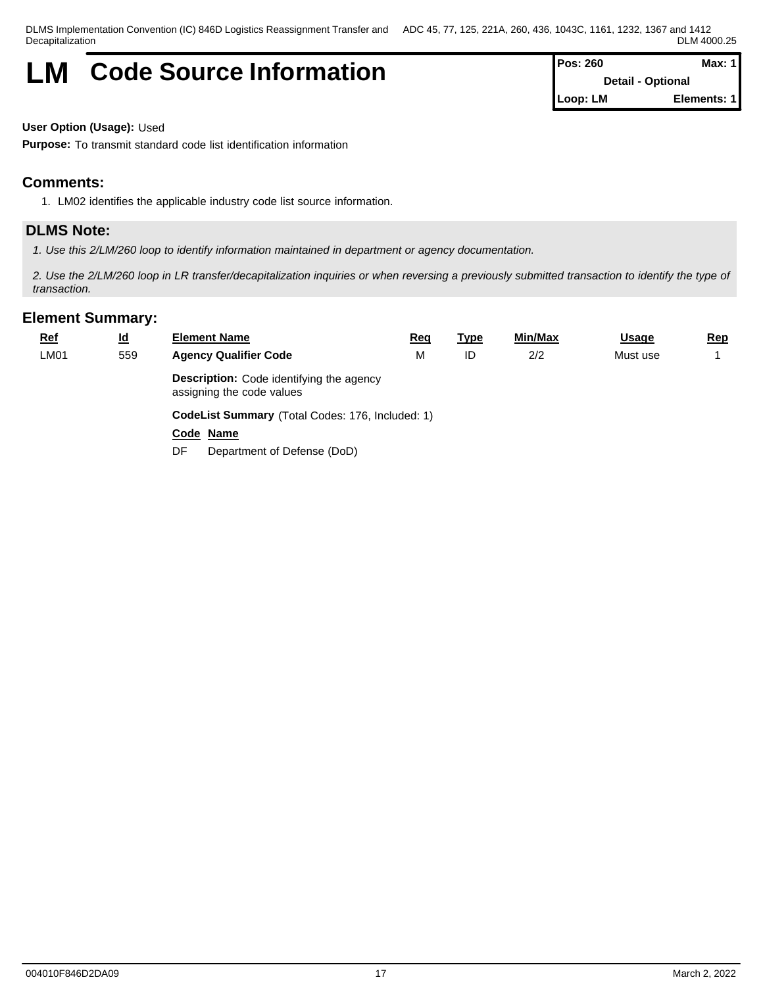# **LM** Code Source Information

| Pos: 260 | Max: $1$                 |
|----------|--------------------------|
|          | <b>Detail - Optional</b> |
| Loop: LM | Elements: 1              |

**User Option (Usage):** Used

**Purpose:** To transmit standard code list identification information

# **Comments:**

1. LM02 identifies the applicable industry code list source information.

## **DLMS Note:**

*1. Use this 2/LM/260 loop to identify information maintained in department or agency documentation.*

*2. Use the 2/LM/260 loop in LR transfer/decapitalization inquiries or when reversing a previously submitted transaction to identify the type of transaction.*

| $Ref$ | <u>ld</u> | <b>Element Name</b>                                                          | <b>Req</b> | <u>Type</u> | Min/Max | <b>Usage</b> | Rep |  |  |  |  |
|-------|-----------|------------------------------------------------------------------------------|------------|-------------|---------|--------------|-----|--|--|--|--|
| LM01  | 559       | <b>Agency Qualifier Code</b>                                                 |            | ID          | 2/2     | Must use     |     |  |  |  |  |
|       |           | <b>Description:</b> Code identifying the agency<br>assigning the code values |            |             |         |              |     |  |  |  |  |
|       |           | CodeList Summary (Total Codes: 176, Included: 1)                             |            |             |         |              |     |  |  |  |  |
|       |           | Code Name                                                                    |            |             |         |              |     |  |  |  |  |
|       |           | Department of Defense (DoD)<br>DF.                                           |            |             |         |              |     |  |  |  |  |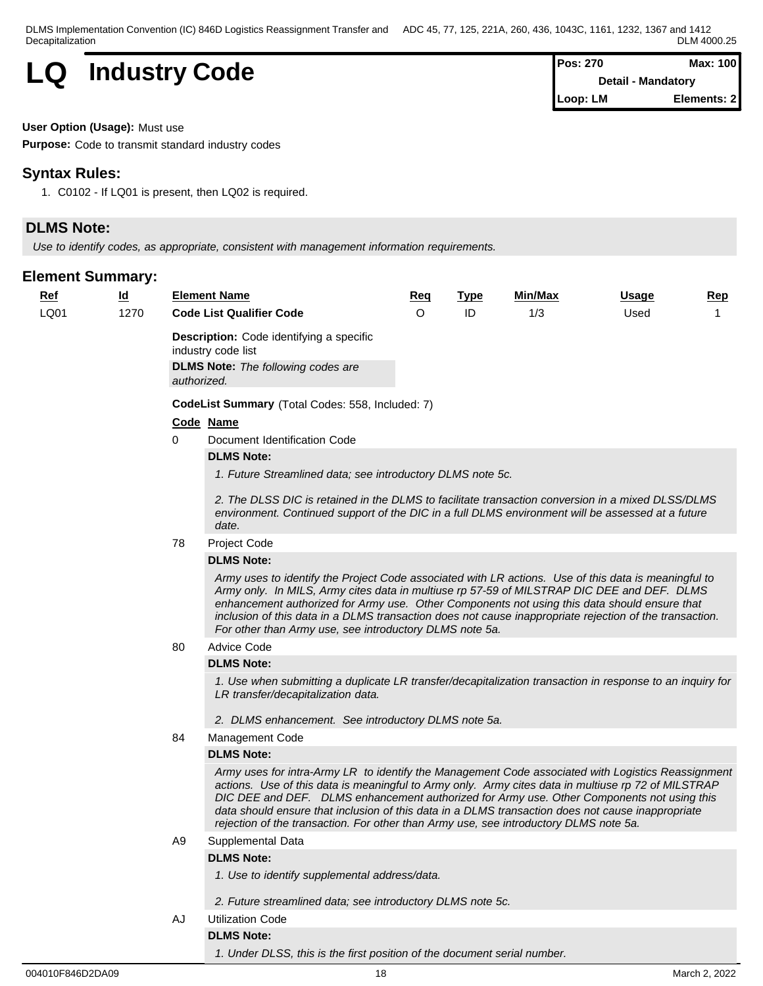**LQ Industry Code Pos: 270 Max: 100 Pos: 270 Max: 100** 

**Detail - Mandatory Loop: LM Elements: 2**

#### **User Option (Usage):** Must use

**Purpose:** Code to transmit standard industry codes

### **Syntax Rules:**

1. C0102 - If LQ01 is present, then LQ02 is required.

# **DLMS Note:**

*Use to identify codes, as appropriate, consistent with management information requirements.*

### **Element Summary:**

| <b>Ref</b> | <u>ld</u> |                | <b>Element Name</b>                                                                                                                                                                                                                                                                                                                                                                                                                                                                                   | <u>Req</u> | <b>Type</b> | <u>Min/Max</u> | <u>Usage</u> | <u>Rep</u> |  |  |  |  |
|------------|-----------|----------------|-------------------------------------------------------------------------------------------------------------------------------------------------------------------------------------------------------------------------------------------------------------------------------------------------------------------------------------------------------------------------------------------------------------------------------------------------------------------------------------------------------|------------|-------------|----------------|--------------|------------|--|--|--|--|
| LQ01       | 1270      |                | <b>Code List Qualifier Code</b>                                                                                                                                                                                                                                                                                                                                                                                                                                                                       | O          | ID          | 1/3            | Used         |            |  |  |  |  |
|            |           |                | Description: Code identifying a specific<br>industry code list                                                                                                                                                                                                                                                                                                                                                                                                                                        |            |             |                |              |            |  |  |  |  |
|            |           | authorized.    | <b>DLMS Note:</b> The following codes are                                                                                                                                                                                                                                                                                                                                                                                                                                                             |            |             |                |              |            |  |  |  |  |
|            |           |                | CodeList Summary (Total Codes: 558, Included: 7)                                                                                                                                                                                                                                                                                                                                                                                                                                                      |            |             |                |              |            |  |  |  |  |
|            |           |                | Code Name                                                                                                                                                                                                                                                                                                                                                                                                                                                                                             |            |             |                |              |            |  |  |  |  |
|            |           | 0              | Document Identification Code                                                                                                                                                                                                                                                                                                                                                                                                                                                                          |            |             |                |              |            |  |  |  |  |
|            |           |                | <b>DLMS Note:</b>                                                                                                                                                                                                                                                                                                                                                                                                                                                                                     |            |             |                |              |            |  |  |  |  |
|            |           |                | 1. Future Streamlined data; see introductory DLMS note 5c.                                                                                                                                                                                                                                                                                                                                                                                                                                            |            |             |                |              |            |  |  |  |  |
|            |           |                | 2. The DLSS DIC is retained in the DLMS to facilitate transaction conversion in a mixed DLSS/DLMS<br>environment. Continued support of the DIC in a full DLMS environment will be assessed at a future<br>date.                                                                                                                                                                                                                                                                                       |            |             |                |              |            |  |  |  |  |
|            |           | 78             | Project Code                                                                                                                                                                                                                                                                                                                                                                                                                                                                                          |            |             |                |              |            |  |  |  |  |
|            |           |                | <b>DLMS Note:</b>                                                                                                                                                                                                                                                                                                                                                                                                                                                                                     |            |             |                |              |            |  |  |  |  |
|            |           |                | Army uses to identify the Project Code associated with LR actions. Use of this data is meaningful to<br>Army only. In MILS, Army cites data in multiuse rp 57-59 of MILSTRAP DIC DEE and DEF. DLMS<br>enhancement authorized for Army use. Other Components not using this data should ensure that<br>inclusion of this data in a DLMS transaction does not cause inappropriate rejection of the transaction.<br>For other than Army use, see introductory DLMS note 5a.                              |            |             |                |              |            |  |  |  |  |
|            |           | 80             | <b>Advice Code</b>                                                                                                                                                                                                                                                                                                                                                                                                                                                                                    |            |             |                |              |            |  |  |  |  |
|            |           |                | <b>DLMS Note:</b>                                                                                                                                                                                                                                                                                                                                                                                                                                                                                     |            |             |                |              |            |  |  |  |  |
|            |           |                | 1. Use when submitting a duplicate LR transfer/decapitalization transaction in response to an inquiry for<br>LR transfer/decapitalization data.                                                                                                                                                                                                                                                                                                                                                       |            |             |                |              |            |  |  |  |  |
|            |           |                | 2. DLMS enhancement. See introductory DLMS note 5a.                                                                                                                                                                                                                                                                                                                                                                                                                                                   |            |             |                |              |            |  |  |  |  |
|            |           | 84             | Management Code                                                                                                                                                                                                                                                                                                                                                                                                                                                                                       |            |             |                |              |            |  |  |  |  |
|            |           |                | <b>DLMS Note:</b>                                                                                                                                                                                                                                                                                                                                                                                                                                                                                     |            |             |                |              |            |  |  |  |  |
|            |           |                | Army uses for intra-Army LR to identify the Management Code associated with Logistics Reassignment<br>actions. Use of this data is meaningful to Army only. Army cites data in multiuse rp 72 of MILSTRAP<br>DIC DEE and DEF. DLMS enhancement authorized for Army use. Other Components not using this<br>data should ensure that inclusion of this data in a DLMS transaction does not cause inappropriate<br>rejection of the transaction. For other than Army use, see introductory DLMS note 5a. |            |             |                |              |            |  |  |  |  |
|            |           | A <sub>9</sub> | Supplemental Data                                                                                                                                                                                                                                                                                                                                                                                                                                                                                     |            |             |                |              |            |  |  |  |  |
|            |           |                | <b>DLMS Note:</b>                                                                                                                                                                                                                                                                                                                                                                                                                                                                                     |            |             |                |              |            |  |  |  |  |
|            |           |                | 1. Use to identify supplemental address/data.                                                                                                                                                                                                                                                                                                                                                                                                                                                         |            |             |                |              |            |  |  |  |  |
|            |           |                | 2. Future streamlined data; see introductory DLMS note 5c.                                                                                                                                                                                                                                                                                                                                                                                                                                            |            |             |                |              |            |  |  |  |  |
|            |           | AJ             | <b>Utilization Code</b>                                                                                                                                                                                                                                                                                                                                                                                                                                                                               |            |             |                |              |            |  |  |  |  |
|            |           |                | <b>DLMS Note:</b>                                                                                                                                                                                                                                                                                                                                                                                                                                                                                     |            |             |                |              |            |  |  |  |  |

*1. Under DLSS, this is the first position of the document serial number.*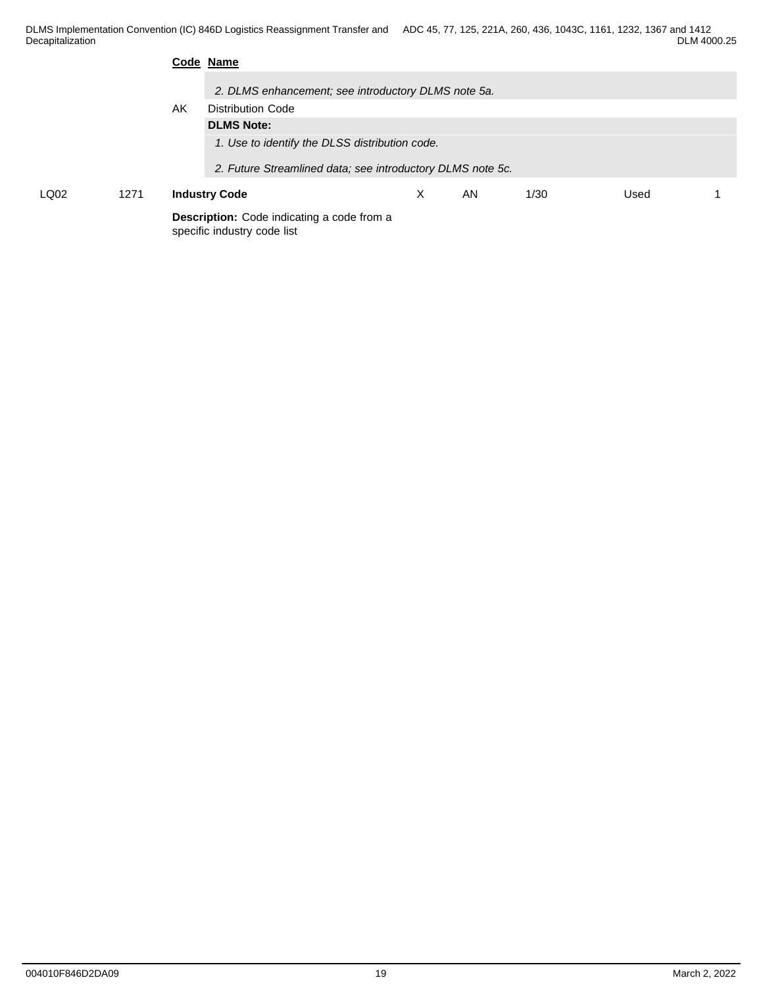|              |  |    | Code Name                                                                 |   |    |      |      |  |  |  |
|--------------|--|----|---------------------------------------------------------------------------|---|----|------|------|--|--|--|
|              |  |    | 2. DLMS enhancement; see introductory DLMS note 5a.                       |   |    |      |      |  |  |  |
|              |  | AK | <b>Distribution Code</b>                                                  |   |    |      |      |  |  |  |
|              |  |    | <b>DLMS Note:</b>                                                         |   |    |      |      |  |  |  |
|              |  |    | 1. Use to identify the DLSS distribution code.                            |   |    |      |      |  |  |  |
|              |  |    | 2. Future Streamlined data; see introductory DLMS note 5c.                |   |    |      |      |  |  |  |
| LQ02<br>1271 |  |    | <b>Industry Code</b>                                                      | X | AN | 1/30 | Used |  |  |  |
|              |  |    | Description: Code indicating a code from a<br>specific industry code list |   |    |      |      |  |  |  |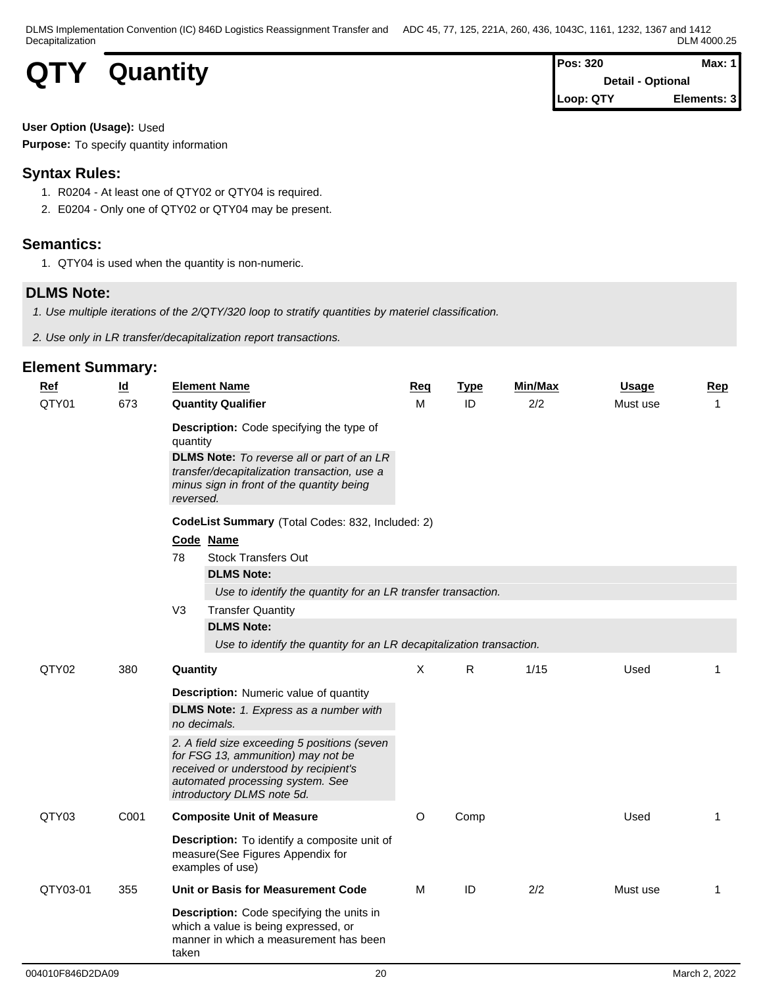

| Pos: 320  | Max: $1$                 |
|-----------|--------------------------|
|           | <b>Detail - Optional</b> |
| Loop: QTY | Elements: 3              |

### **User Option (Usage):** Used

**Purpose:** To specify quantity information

# **Syntax Rules:**

- 1. R0204 At least one of QTY02 or QTY04 is required.
- 2. E0204 Only one of QTY02 or QTY04 may be present.

# **Semantics:**

1. QTY04 is used when the quantity is non-numeric.

# **DLMS Note:**

*1. Use multiple iterations of the 2/QTY/320 loop to stratify quantities by materiel classification.*

*2. Use only in LR transfer/decapitalization report transactions.*

| <b>Ref</b> | $\overline{\mathsf{Id}}$ | <b>Element Name</b>                                                                                                                                                                                                        |                                                                      | Req | <b>Type</b>  | Min/Max | <b>Usage</b> | Rep          |  |
|------------|--------------------------|----------------------------------------------------------------------------------------------------------------------------------------------------------------------------------------------------------------------------|----------------------------------------------------------------------|-----|--------------|---------|--------------|--------------|--|
| QTY01      | 673                      | <b>Quantity Qualifier</b>                                                                                                                                                                                                  |                                                                      | м   | ID           | 2/2     | Must use     | $\mathbf 1$  |  |
|            |                          | <b>Description:</b> Code specifying the type of<br>quantity<br><b>DLMS Note:</b> To reverse all or part of an LR<br>transfer/decapitalization transaction, use a<br>minus sign in front of the quantity being<br>reversed. |                                                                      |     |              |         |              |              |  |
|            |                          | CodeList Summary (Total Codes: 832, Included: 2)<br>Code Name<br><b>Stock Transfers Out</b><br>78<br><b>DLMS Note:</b><br>Use to identify the quantity for an LR transfer transaction.                                     |                                                                      |     |              |         |              |              |  |
|            |                          | V3<br><b>Transfer Quantity</b>                                                                                                                                                                                             |                                                                      |     |              |         |              |              |  |
|            |                          | <b>DLMS Note:</b>                                                                                                                                                                                                          | Use to identify the quantity for an LR decapitalization transaction. |     |              |         |              |              |  |
| QTY02      | 380                      | Quantity                                                                                                                                                                                                                   |                                                                      | X   | $\mathsf{R}$ | 1/15    | Used         |              |  |
|            |                          | <b>Description:</b> Numeric value of quantity<br><b>DLMS Note:</b> 1. Express as a number with<br>no decimals.                                                                                                             |                                                                      |     |              |         |              |              |  |
|            |                          | 2. A field size exceeding 5 positions (seven<br>for FSG 13, ammunition) may not be<br>received or understood by recipient's<br>automated processing system. See<br>introductory DLMS note 5d.                              |                                                                      |     |              |         |              |              |  |
| QTY03      | C001                     | <b>Composite Unit of Measure</b>                                                                                                                                                                                           |                                                                      | O   | Comp         |         | Used         | 1            |  |
|            |                          | Description: To identify a composite unit of<br>measure(See Figures Appendix for<br>examples of use)                                                                                                                       |                                                                      |     |              |         |              |              |  |
| QTY03-01   | 355                      | Unit or Basis for Measurement Code                                                                                                                                                                                         |                                                                      | м   | ID           | 2/2     | Must use     | $\mathbf{1}$ |  |
|            |                          | Description: Code specifying the units in<br>which a value is being expressed, or<br>manner in which a measurement has been<br>taken                                                                                       |                                                                      |     |              |         |              |              |  |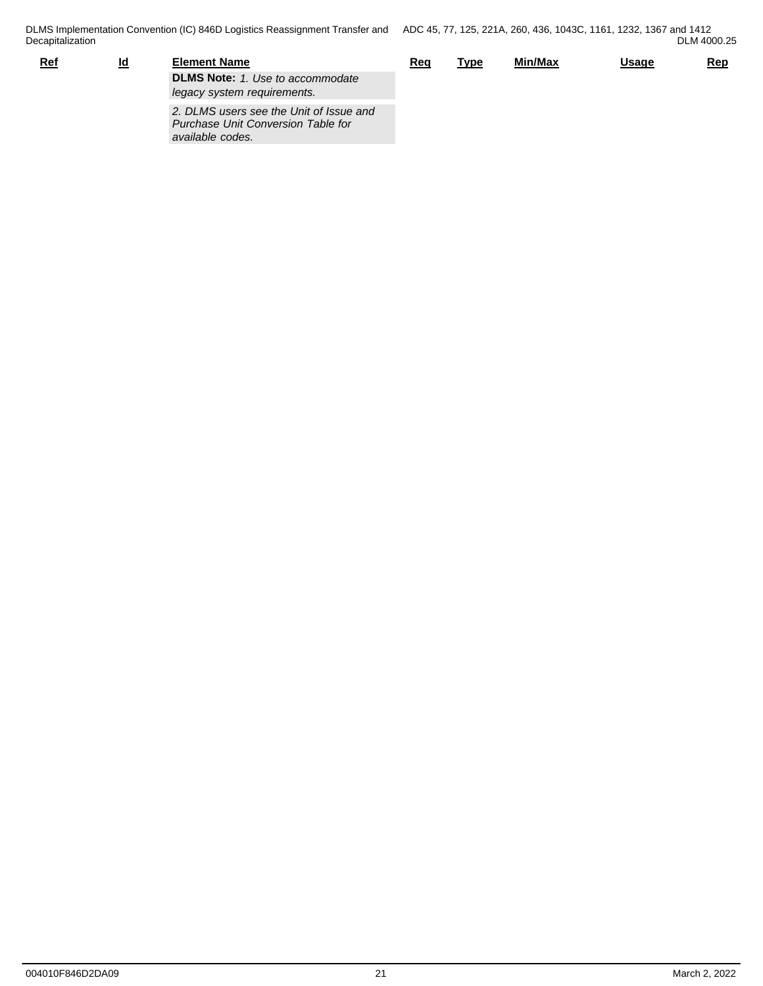| <u>Ref</u> | ıd | Element Name                            |  | <b>Type</b> | Min/Max | <b>Usage</b> | <u>Rep</u> |
|------------|----|-----------------------------------------|--|-------------|---------|--------------|------------|
|            |    | <b>DLMS Note: 1. Use to accommodate</b> |  |             |         |              |            |
|            |    | legacy system requirements.             |  |             |         |              |            |
|            |    | 2. DLMS users see the Unit of Issue and |  |             |         |              |            |

*Purchase Unit Conversion Table for available codes.*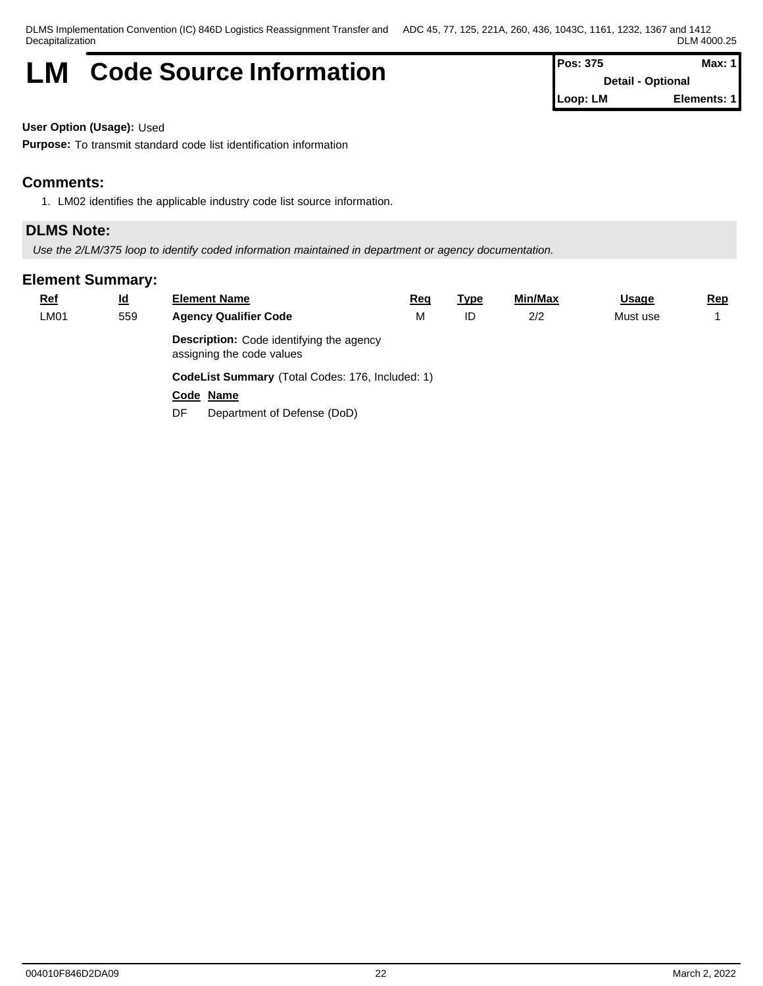# **LM** Code Source Information **Pos:** 375 Max: 1

**Detail - Optional Loop: LM Elements: 1**

**User Option (Usage):** Used

**Purpose:** To transmit standard code list identification information

# **Comments:**

1. LM02 identifies the applicable industry code list source information.

# **DLMS Note:**

*Use the 2/LM/375 loop to identify coded information maintained in department or agency documentation.*

| <b>Ref</b> | <u>ld</u> | <b>Element Name</b>                                                          | <u>Req</u> | <u>Type</u> | <u>Min/Max</u> | <b>Usage</b> | <u>Rep</u> |  |  |  |
|------------|-----------|------------------------------------------------------------------------------|------------|-------------|----------------|--------------|------------|--|--|--|
| LM01       | 559       | <b>Agency Qualifier Code</b>                                                 | M          | ID          | 2/2            | Must use     |            |  |  |  |
|            |           | <b>Description:</b> Code identifying the agency<br>assigning the code values |            |             |                |              |            |  |  |  |
|            |           | CodeList Summary (Total Codes: 176, Included: 1)                             |            |             |                |              |            |  |  |  |
|            |           | Code Name                                                                    |            |             |                |              |            |  |  |  |
|            |           | Department of Defense (DoD)<br>DF                                            |            |             |                |              |            |  |  |  |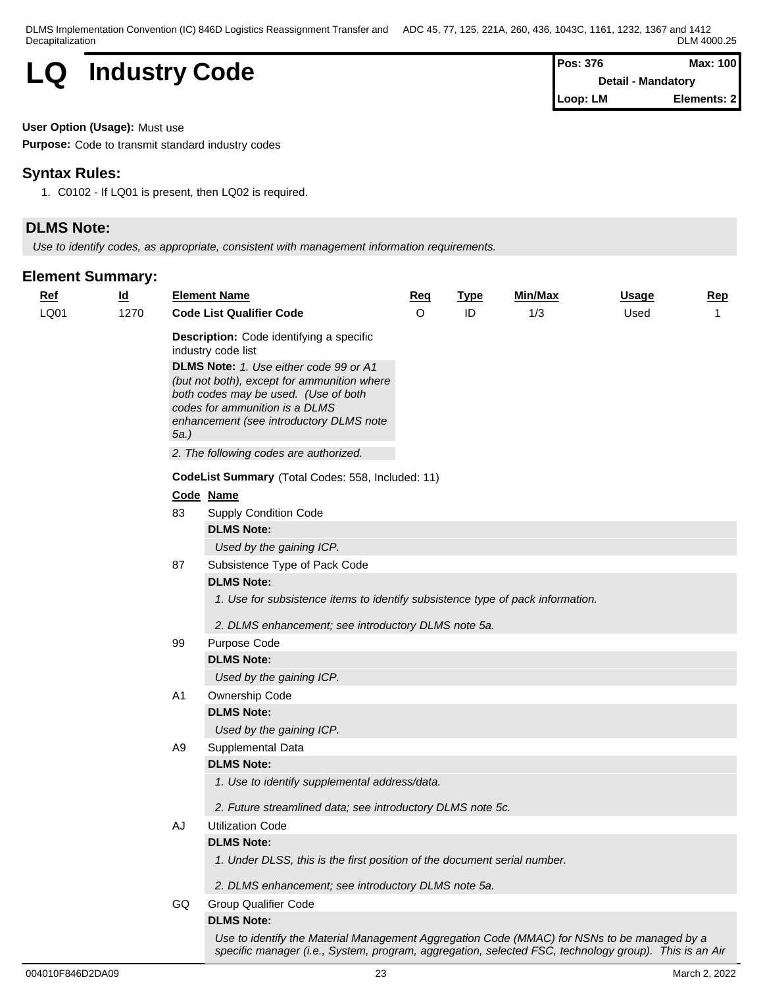| LQ | <b>Industry Code</b> | <b>Pos: 376</b>       | Max: 100 |  |
|----|----------------------|-----------------------|----------|--|
|    |                      | - Mandatory<br>Detail |          |  |

| <b>IPos: 376</b> | Max: 100                  |
|------------------|---------------------------|
|                  | <b>Detail - Mandatory</b> |
| Loop: LM         | Elements: 2               |

### **User Option (Usage):** Must use

**Purpose:** Code to transmit standard industry codes

# **Syntax Rules:**

1. C0102 - If LQ01 is present, then LQ02 is required.

# **DLMS Note:**

*Use to identify codes, as appropriate, consistent with management information requirements.*

| <u>Ref</u> | $\underline{\mathsf{Id}}$ |                                                   | <b>Element Name</b>                                                                                                                                                                                                                                                                 | Req     | <b>Type</b> | Min/Max | <b>Usage</b> | <b>Rep</b> |  |
|------------|---------------------------|---------------------------------------------------|-------------------------------------------------------------------------------------------------------------------------------------------------------------------------------------------------------------------------------------------------------------------------------------|---------|-------------|---------|--------------|------------|--|
| LQ01       | 1270                      |                                                   | <b>Code List Qualifier Code</b>                                                                                                                                                                                                                                                     | $\circ$ | ID          | 1/3     | Used         |            |  |
|            |                           |                                                   | <b>Description:</b> Code identifying a specific<br>industry code list<br>DLMS Note: 1. Use either code 99 or A1<br>(but not both), except for ammunition where<br>both codes may be used. (Use of both<br>codes for ammunition is a DLMS<br>enhancement (see introductory DLMS note |         |             |         |              |            |  |
|            |                           | 2. The following codes are authorized.            |                                                                                                                                                                                                                                                                                     |         |             |         |              |            |  |
|            |                           | CodeList Summary (Total Codes: 558, Included: 11) |                                                                                                                                                                                                                                                                                     |         |             |         |              |            |  |
|            |                           |                                                   | Code Name                                                                                                                                                                                                                                                                           |         |             |         |              |            |  |
|            |                           | 83                                                | <b>Supply Condition Code</b>                                                                                                                                                                                                                                                        |         |             |         |              |            |  |
|            |                           |                                                   | <b>DLMS Note:</b>                                                                                                                                                                                                                                                                   |         |             |         |              |            |  |
|            |                           |                                                   | Used by the gaining ICP.                                                                                                                                                                                                                                                            |         |             |         |              |            |  |
|            |                           | 87                                                | Subsistence Type of Pack Code<br><b>DLMS Note:</b>                                                                                                                                                                                                                                  |         |             |         |              |            |  |
|            |                           |                                                   | 1. Use for subsistence items to identify subsistence type of pack information.<br>2. DLMS enhancement; see introductory DLMS note 5a.                                                                                                                                               |         |             |         |              |            |  |
|            |                           | 99                                                | Purpose Code                                                                                                                                                                                                                                                                        |         |             |         |              |            |  |
|            |                           |                                                   | <b>DLMS Note:</b>                                                                                                                                                                                                                                                                   |         |             |         |              |            |  |
|            |                           |                                                   | Used by the gaining ICP.                                                                                                                                                                                                                                                            |         |             |         |              |            |  |
|            |                           | A1                                                | Ownership Code                                                                                                                                                                                                                                                                      |         |             |         |              |            |  |
|            |                           |                                                   | <b>DLMS Note:</b>                                                                                                                                                                                                                                                                   |         |             |         |              |            |  |
|            |                           |                                                   | Used by the gaining ICP.                                                                                                                                                                                                                                                            |         |             |         |              |            |  |
|            |                           | A9                                                | Supplemental Data                                                                                                                                                                                                                                                                   |         |             |         |              |            |  |
|            |                           |                                                   | <b>DLMS Note:</b>                                                                                                                                                                                                                                                                   |         |             |         |              |            |  |
|            |                           |                                                   | 1. Use to identify supplemental address/data.                                                                                                                                                                                                                                       |         |             |         |              |            |  |
|            |                           |                                                   | 2. Future streamlined data; see introductory DLMS note 5c.                                                                                                                                                                                                                          |         |             |         |              |            |  |
|            |                           | AJ                                                | <b>Utilization Code</b>                                                                                                                                                                                                                                                             |         |             |         |              |            |  |
|            |                           |                                                   | <b>DLMS Note:</b>                                                                                                                                                                                                                                                                   |         |             |         |              |            |  |
|            |                           |                                                   | 1. Under DLSS, this is the first position of the document serial number.                                                                                                                                                                                                            |         |             |         |              |            |  |
|            |                           |                                                   | 2. DLMS enhancement; see introductory DLMS note 5a.                                                                                                                                                                                                                                 |         |             |         |              |            |  |
|            |                           | GQ                                                | <b>Group Qualifier Code</b>                                                                                                                                                                                                                                                         |         |             |         |              |            |  |
|            |                           |                                                   | <b>DLMS Note:</b>                                                                                                                                                                                                                                                                   |         |             |         |              |            |  |
|            |                           |                                                   | Use to identify the Material Management Aggregation Code (MMAC) for NSNs to be managed by a                                                                                                                                                                                         |         |             |         |              |            |  |
|            |                           |                                                   | specific manager (i.e., System, program, aggregation, selected FSC, technology group). This is an Air                                                                                                                                                                               |         |             |         |              |            |  |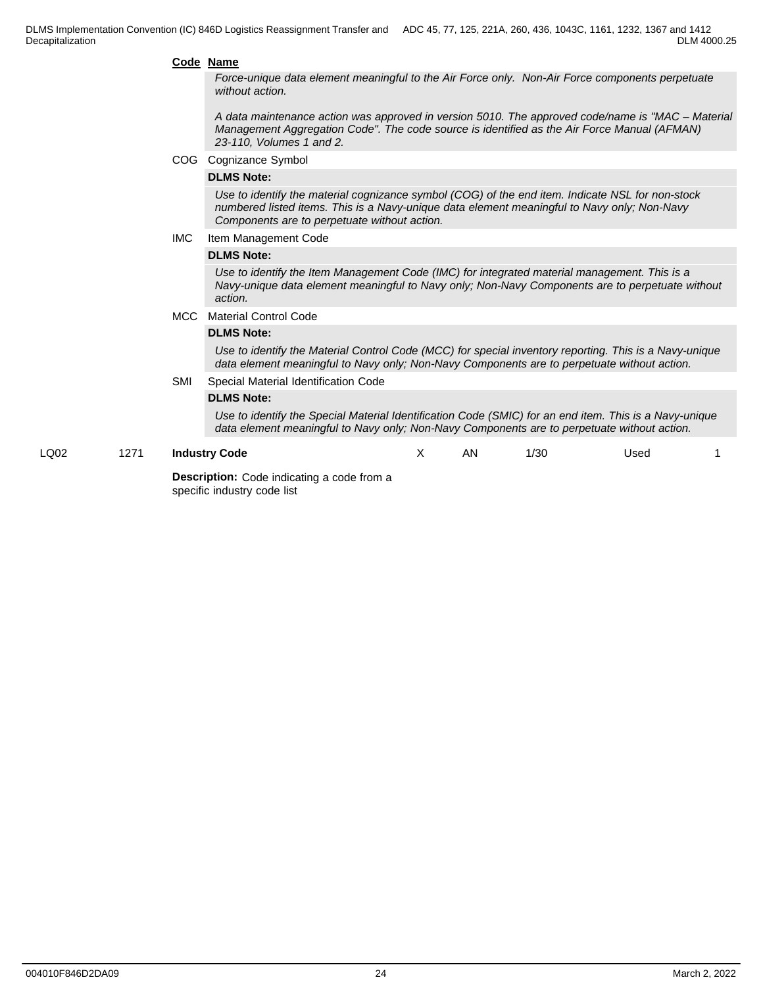#### **Code Name**

*Force-unique data element meaningful to the Air Force only. Non-Air Force components perpetuate without action.* 

*A data maintenance action was approved in version 5010. The approved code/name is "MAC – Material Management Aggregation Code". The code source is identified as the Air Force Manual (AFMAN) 23-110, Volumes 1 and 2.*

COG Cognizance Symbol

### **DLMS Note:**

*Use to identify the material cognizance symbol (COG) of the end item. Indicate NSL for non-stock numbered listed items. This is a Navy-unique data element meaningful to Navy only; Non-Navy Components are to perpetuate without action.*

#### IMC Item Management Code

#### **DLMS Note:**

*Use to identify the Item Management Code (IMC) for integrated material management. This is a Navy-unique data element meaningful to Navy only; Non-Navy Components are to perpetuate without action.*

#### MCC Material Control Code

### **DLMS Note:**

*Use to identify the Material Control Code (MCC) for special inventory reporting. This is a Navy-unique data element meaningful to Navy only; Non-Navy Components are to perpetuate without action.*

#### SMI Special Material Identification Code

### **DLMS Note:**

*Use to identify the Special Material Identification Code (SMIC) for an end item. This is a Navy-unique data element meaningful to Navy only; Non-Navy Components are to perpetuate without action.*

#### LQ02 1271 **Industry Code**

X AN 1/30 Used 1

**Description:** Code indicating a code from a specific industry code list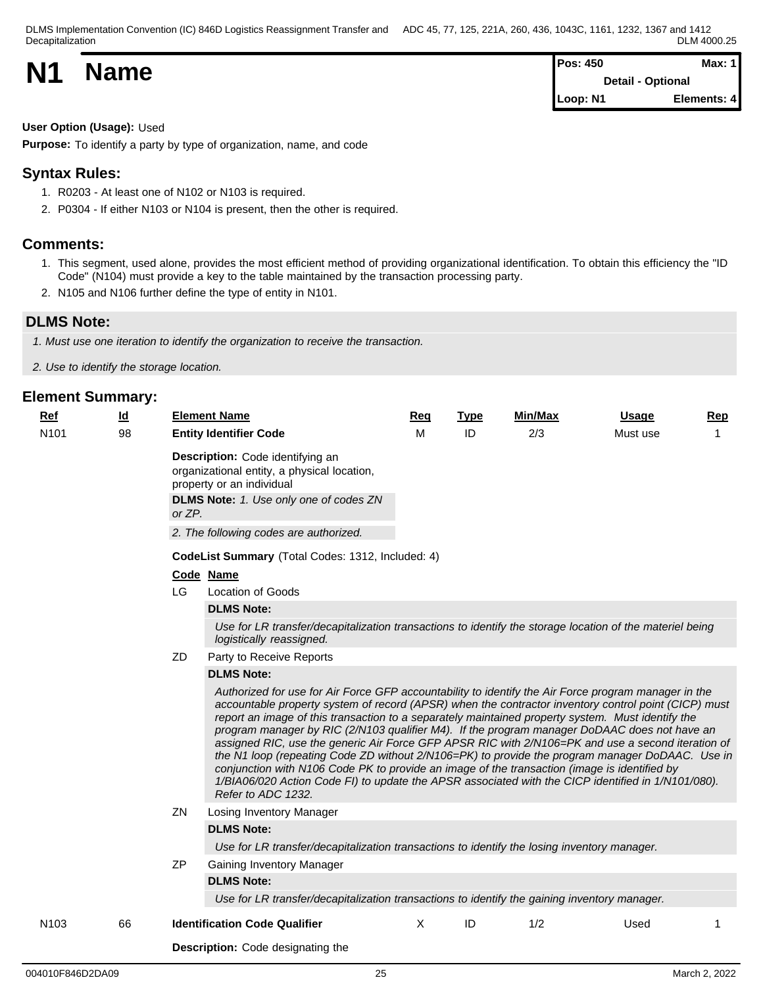|           |             | <b>Pos: 450</b>          | Max: 1      |  |
|-----------|-------------|--------------------------|-------------|--|
| <b>N1</b> | <b>Name</b> | <b>Detail - Optional</b> |             |  |
|           |             | Loop: N1                 | Elements: 4 |  |

### **User Option (Usage):** Used

**Purpose:** To identify a party by type of organization, name, and code

# **Syntax Rules:**

- 1. R0203 At least one of N102 or N103 is required.
- 2. P0304 If either N103 or N104 is present, then the other is required.

### **Comments:**

- 1. This segment, used alone, provides the most efficient method of providing organizational identification. To obtain this efficiency the "ID Code" (N104) must provide a key to the table maintained by the transaction processing party.
- 2. N105 and N106 further define the type of entity in N101.

# **DLMS Note:**

*1. Must use one iteration to identify the organization to receive the transaction.*

*2. Use to identify the storage location.*

| Ref              | <u>ld</u> |           | <b>Element Name</b>                                                                                                                                                                                                                                                                                                                                                                                                                                                                                                                                                                                                                                                                                                                                                                                                                                                        | Req      | <b>Type</b> | Min/Max | <b>Usage</b> | <b>Rep</b> |  |  |
|------------------|-----------|-----------|----------------------------------------------------------------------------------------------------------------------------------------------------------------------------------------------------------------------------------------------------------------------------------------------------------------------------------------------------------------------------------------------------------------------------------------------------------------------------------------------------------------------------------------------------------------------------------------------------------------------------------------------------------------------------------------------------------------------------------------------------------------------------------------------------------------------------------------------------------------------------|----------|-------------|---------|--------------|------------|--|--|
| N <sub>101</sub> | 98        |           | <b>Entity Identifier Code</b>                                                                                                                                                                                                                                                                                                                                                                                                                                                                                                                                                                                                                                                                                                                                                                                                                                              | м        | ID          | 2/3     | Must use     | 1          |  |  |
|                  |           | or ZP.    | Description: Code identifying an<br>organizational entity, a physical location,<br>property or an individual<br><b>DLMS Note:</b> 1. Use only one of codes ZN<br>2. The following codes are authorized.                                                                                                                                                                                                                                                                                                                                                                                                                                                                                                                                                                                                                                                                    |          |             |         |              |            |  |  |
|                  |           |           | CodeList Summary (Total Codes: 1312, Included: 4)                                                                                                                                                                                                                                                                                                                                                                                                                                                                                                                                                                                                                                                                                                                                                                                                                          |          |             |         |              |            |  |  |
|                  |           | Code Name |                                                                                                                                                                                                                                                                                                                                                                                                                                                                                                                                                                                                                                                                                                                                                                                                                                                                            |          |             |         |              |            |  |  |
|                  |           | LG        | Location of Goods                                                                                                                                                                                                                                                                                                                                                                                                                                                                                                                                                                                                                                                                                                                                                                                                                                                          |          |             |         |              |            |  |  |
|                  |           |           | <b>DLMS Note:</b>                                                                                                                                                                                                                                                                                                                                                                                                                                                                                                                                                                                                                                                                                                                                                                                                                                                          |          |             |         |              |            |  |  |
|                  |           |           | Use for LR transfer/decapitalization transactions to identify the storage location of the materiel being<br>logistically reassigned.                                                                                                                                                                                                                                                                                                                                                                                                                                                                                                                                                                                                                                                                                                                                       |          |             |         |              |            |  |  |
|                  |           | ZD.       | Party to Receive Reports                                                                                                                                                                                                                                                                                                                                                                                                                                                                                                                                                                                                                                                                                                                                                                                                                                                   |          |             |         |              |            |  |  |
|                  |           |           | <b>DLMS Note:</b><br>Authorized for use for Air Force GFP accountability to identify the Air Force program manager in the<br>accountable property system of record (APSR) when the contractor inventory control point (CICP) must<br>report an image of this transaction to a separately maintained property system. Must identify the<br>program manager by RIC (2/N103 qualifier M4). If the program manager DoDAAC does not have an<br>assigned RIC, use the generic Air Force GFP APSR RIC with 2/N106=PK and use a second iteration of<br>the N1 loop (repeating Code ZD without 2/N106=PK) to provide the program manager DoDAAC. Use in<br>conjunction with N106 Code PK to provide an image of the transaction (image is identified by<br>1/BIA06/020 Action Code FI) to update the APSR associated with the CICP identified in 1/N101/080).<br>Refer to ADC 1232. |          |             |         |              |            |  |  |
|                  |           | ZN.       | Losing Inventory Manager                                                                                                                                                                                                                                                                                                                                                                                                                                                                                                                                                                                                                                                                                                                                                                                                                                                   |          |             |         |              |            |  |  |
|                  |           |           | <b>DLMS Note:</b>                                                                                                                                                                                                                                                                                                                                                                                                                                                                                                                                                                                                                                                                                                                                                                                                                                                          |          |             |         |              |            |  |  |
|                  |           |           | Use for LR transfer/decapitalization transactions to identify the losing inventory manager.                                                                                                                                                                                                                                                                                                                                                                                                                                                                                                                                                                                                                                                                                                                                                                                |          |             |         |              |            |  |  |
|                  |           | ΖP        | Gaining Inventory Manager<br><b>DLMS Note:</b><br>Use for LR transfer/decapitalization transactions to identify the gaining inventory manager.                                                                                                                                                                                                                                                                                                                                                                                                                                                                                                                                                                                                                                                                                                                             |          |             |         |              |            |  |  |
| N <sub>103</sub> | 66        |           | <b>Identification Code Qualifier</b>                                                                                                                                                                                                                                                                                                                                                                                                                                                                                                                                                                                                                                                                                                                                                                                                                                       | $\times$ | ID          | 1/2     | Used         |            |  |  |
|                  |           |           | <b>Description:</b> Code designating the                                                                                                                                                                                                                                                                                                                                                                                                                                                                                                                                                                                                                                                                                                                                                                                                                                   |          |             |         |              |            |  |  |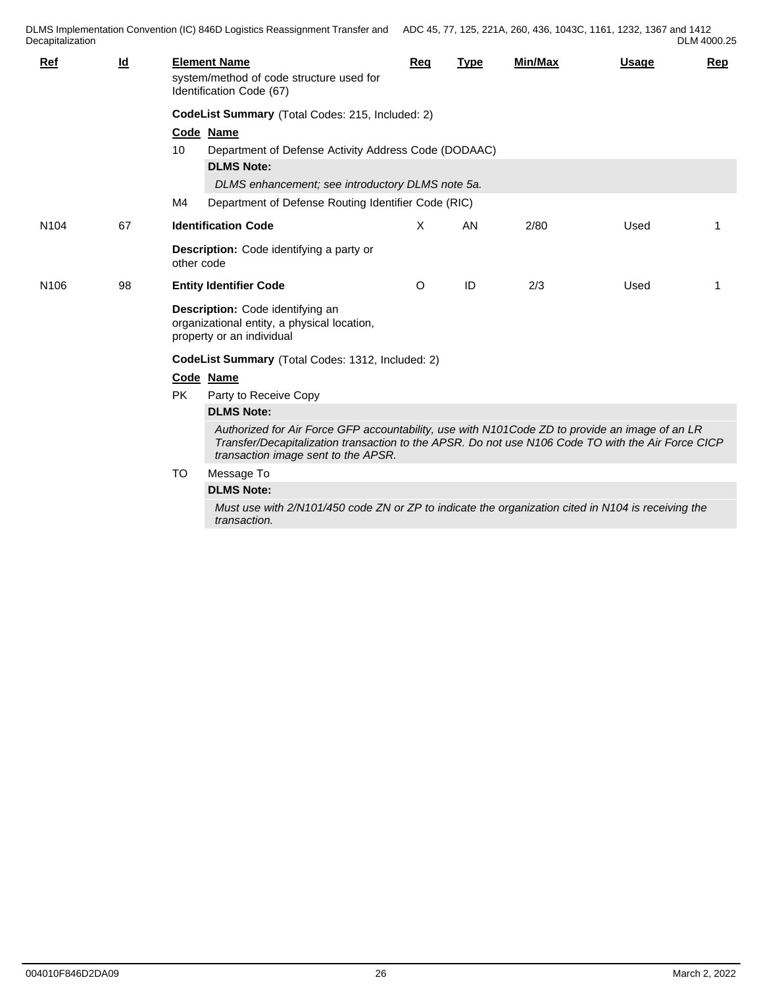| Ref              | $\underline{\mathsf{Id}}$ |                                                                                                              | <b>Element Name</b><br>system/method of code structure used for<br>Identification Code (67)                                                                                                                                                 | Rea     | <b>Type</b> | Min/Max | <b>Usage</b> | <u>Rep</u> |
|------------------|---------------------------|--------------------------------------------------------------------------------------------------------------|---------------------------------------------------------------------------------------------------------------------------------------------------------------------------------------------------------------------------------------------|---------|-------------|---------|--------------|------------|
|                  |                           | CodeList Summary (Total Codes: 215, Included: 2)                                                             |                                                                                                                                                                                                                                             |         |             |         |              |            |
|                  |                           |                                                                                                              | Code Name                                                                                                                                                                                                                                   |         |             |         |              |            |
|                  |                           | 10                                                                                                           | Department of Defense Activity Address Code (DODAAC)                                                                                                                                                                                        |         |             |         |              |            |
|                  |                           |                                                                                                              | <b>DLMS Note:</b>                                                                                                                                                                                                                           |         |             |         |              |            |
|                  |                           |                                                                                                              | DLMS enhancement; see introductory DLMS note 5a.                                                                                                                                                                                            |         |             |         |              |            |
|                  |                           | M4                                                                                                           | Department of Defense Routing Identifier Code (RIC)                                                                                                                                                                                         |         |             |         |              |            |
| N <sub>104</sub> | 67                        |                                                                                                              | <b>Identification Code</b>                                                                                                                                                                                                                  | X       | AN          | 2/80    | Used         | -1         |
|                  |                           | other code                                                                                                   | Description: Code identifying a party or                                                                                                                                                                                                    |         |             |         |              |            |
| N <sub>106</sub> | 98                        |                                                                                                              | <b>Entity Identifier Code</b>                                                                                                                                                                                                               | $\circ$ | ID          | 2/3     | Used         |            |
|                  |                           | Description: Code identifying an<br>organizational entity, a physical location,<br>property or an individual |                                                                                                                                                                                                                                             |         |             |         |              |            |
|                  |                           | CodeList Summary (Total Codes: 1312, Included: 2)                                                            |                                                                                                                                                                                                                                             |         |             |         |              |            |
|                  |                           |                                                                                                              | Code Name                                                                                                                                                                                                                                   |         |             |         |              |            |
|                  |                           | <b>PK</b>                                                                                                    | Party to Receive Copy                                                                                                                                                                                                                       |         |             |         |              |            |
|                  |                           |                                                                                                              | <b>DLMS Note:</b>                                                                                                                                                                                                                           |         |             |         |              |            |
|                  |                           |                                                                                                              | Authorized for Air Force GFP accountability, use with N101Code ZD to provide an image of an LR<br>Transfer/Decapitalization transaction to the APSR. Do not use N106 Code TO with the Air Force CICP<br>transaction image sent to the APSR. |         |             |         |              |            |
|                  |                           | <b>TO</b>                                                                                                    | Message To                                                                                                                                                                                                                                  |         |             |         |              |            |
|                  |                           |                                                                                                              | <b>DLMS Note:</b>                                                                                                                                                                                                                           |         |             |         |              |            |
|                  |                           |                                                                                                              | Must use with 2/N101/450 code ZN or ZP to indicate the organization cited in N104 is receiving the<br>transaction.                                                                                                                          |         |             |         |              |            |